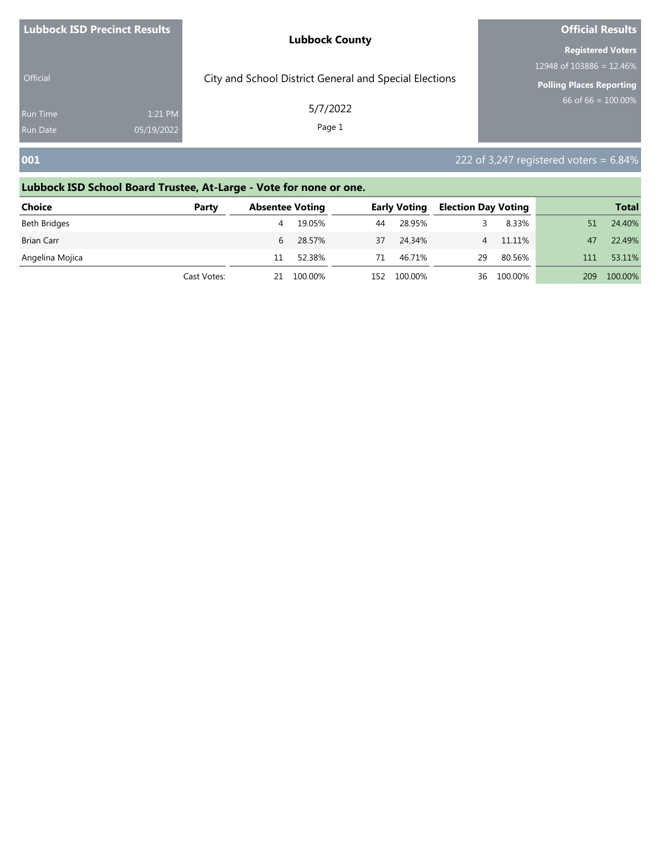| <b>Lubbock ISD Precinct Results</b> |            | <b>Lubbock County</b>                                  | <b>Official Results</b>  |
|-------------------------------------|------------|--------------------------------------------------------|--------------------------|
|                                     |            |                                                        | <b>Registered Voters</b> |
|                                     |            |                                                        | 12948 of 103886 = 12.46% |
| <b>Official</b>                     |            | City and School District General and Special Elections | Polling Places Reporting |
| <b>Run Time</b>                     | 1:21 PM    | 5/7/2022                                               | 66 of 66 = $100.00\%$    |
| <b>Run Date</b>                     | 05/19/2022 | Page 1                                                 |                          |
|                                     |            |                                                        |                          |

### **001** 222 of 3,247 registered voters = 6.84%

## **Lubbock ISD School Board Trustee, At-Large - Vote for none or one. Choice Party Absentee Voting Early Voting Election Day Voting Total** Beth Bridges 4 19.05% 44 28.95% 3 8.33% 51 24.40% Brian Carr 6 28.57% 37 24.34% 4 11.11% 47 22.49% Angelina Mojica **11 52.38%** 71 46.71% 29 80.56% 11 53.11% Cast Votes: 21 100.00% 152 100.00% 36 100.00% 209 100.00%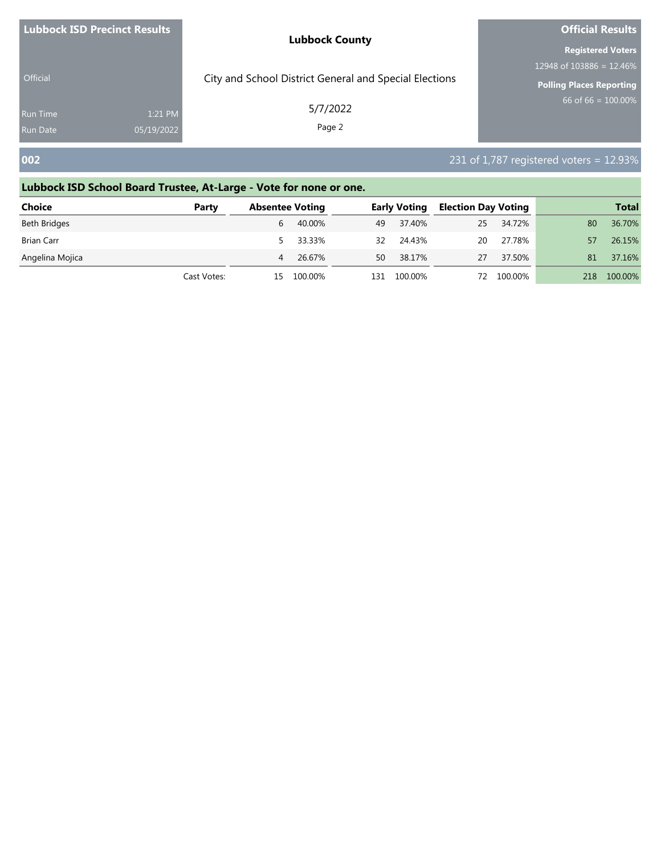| <b>Lubbock ISD Precinct Results</b> |            | <b>Lubbock County</b>                                  | <b>Official Results</b>                              |
|-------------------------------------|------------|--------------------------------------------------------|------------------------------------------------------|
|                                     |            |                                                        | <b>Registered Voters</b><br>12948 of 103886 = 12.46% |
| Official                            |            | City and School District General and Special Elections | <b>Polling Places Reporting</b>                      |
| <b>Run Time</b>                     | 1:21 PM    | 5/7/2022                                               | $66$ of 66 = 100.00%                                 |
| <b>Run Date</b>                     | 05/19/2022 | Page 2                                                 |                                                      |
| 002                                 |            |                                                        | 231 of 1,787 registered voters = $12.93\%$           |

| <b>Choice</b>     | Party       |    | <b>Absentee Voting</b> |     | <b>Early Voting</b> | <b>Election Day Voting</b> |         |     | <b>Total</b> |
|-------------------|-------------|----|------------------------|-----|---------------------|----------------------------|---------|-----|--------------|
| Beth Bridges      |             | 6  | 40.00%                 | 49  | 37.40%              | 25                         | 34.72%  | 80  | 36.70%       |
| <b>Brian Carr</b> |             |    | 33.33%                 | 32  | 24.43%              | 20                         | 27.78%  |     | 26.15%       |
| Angelina Mojica   |             |    | 26.67%                 | 50  | 38.17%              | 27                         | 37.50%  | 81  | 37.16%       |
|                   | Cast Votes: | 15 | 100.00%                | 131 | 100.00%             | 72                         | 100.00% | 218 | 100.00%      |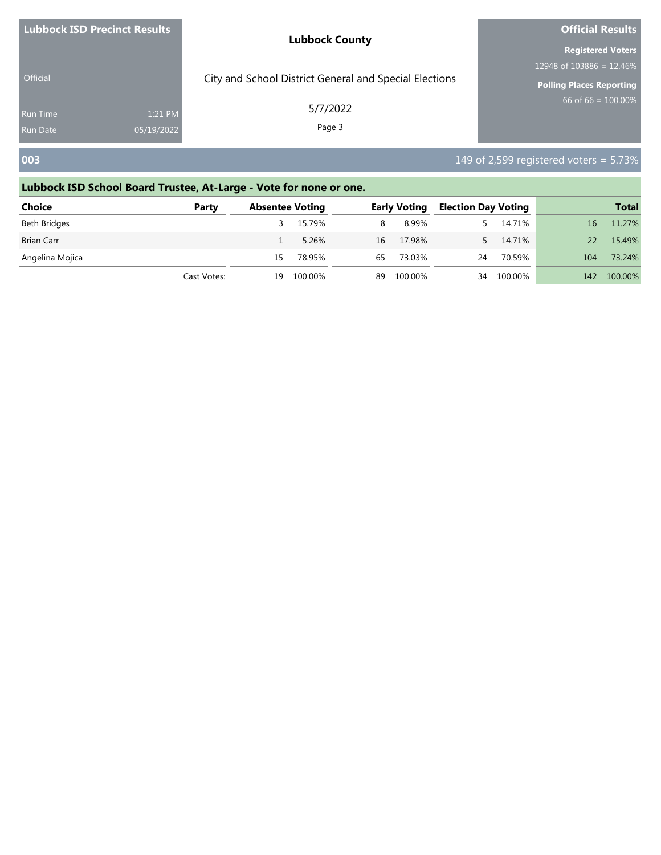| <b>Lubbock ISD Precinct Results</b> |                       | <b>Lubbock County</b>                                  | <b>Official Results</b>                                                                 |
|-------------------------------------|-----------------------|--------------------------------------------------------|-----------------------------------------------------------------------------------------|
| <b>Official</b>                     |                       | City and School District General and Special Elections | <b>Registered Voters</b><br>12948 of 103886 = 12.46%<br><b>Polling Places Reporting</b> |
| <b>Run Time</b><br><b>Run Date</b>  | 1:21 PM<br>05/19/2022 | 5/7/2022<br>Page 3                                     | 66 of 66 = $100.00\%$                                                                   |
| 003                                 |                       |                                                        | 149 of 2,599 registered voters = $5.73\%$                                               |

| <b>Choice</b>     | Party       |    | <b>Absentee Voting</b> |    | <b>Early Voting</b> | <b>Election Day Voting</b> |         |     | <b>Total</b> |
|-------------------|-------------|----|------------------------|----|---------------------|----------------------------|---------|-----|--------------|
| Beth Bridges      |             |    | 15.79%                 | 8  | 8.99%               |                            | 14.71%  | 16  | 11.27%       |
| <b>Brian Carr</b> |             |    | 5.26%                  | 16 | 17.98%              |                            | 14.71%  | 22. | 15.49%       |
| Angelina Mojica   |             | 15 | 78.95%                 | 65 | 73.03%              | 24                         | 70.59%  | 104 | 73.24%       |
|                   | Cast Votes: | 19 | 100.00%                | 89 | 100.00%             | 34                         | 100.00% | 142 | 100.00%      |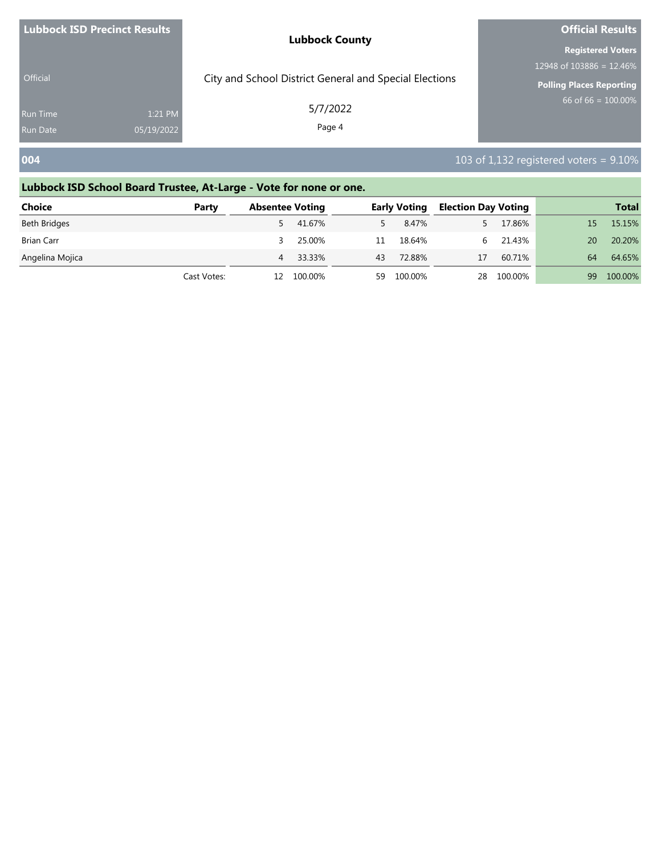| <b>Lubbock ISD Precinct Results</b> |            | <b>Lubbock County</b>                                  | <b>Official Results</b>         |  |  |
|-------------------------------------|------------|--------------------------------------------------------|---------------------------------|--|--|
|                                     |            |                                                        | <b>Registered Voters</b>        |  |  |
| <b>Official</b>                     |            |                                                        | 12948 of 103886 = 12.46%        |  |  |
|                                     |            | City and School District General and Special Elections | <b>Polling Places Reporting</b> |  |  |
| <b>Run Time</b>                     | 1:21 PM    | 5/7/2022                                               | 66 of 66 = $100.00\%$           |  |  |
| <b>Run Date</b>                     | 05/19/2022 | Page 4                                                 |                                 |  |  |
|                                     |            |                                                        |                                 |  |  |

### **004** 103 of 1,132 registered voters = 9.10%

## **Lubbock ISD School Board Trustee, At-Large - Vote for none or one. Choice Party Absentee Voting Early Voting Election Day Voting Total** Beth Bridges 5 41.67% 5 8.47% 5 17.86% 15 15.15% Brian Carr 3 25.00% 11 18.64% 6 21.43% 20 20.20% Angelina Mojica **1988** 17 00.71% 64 64.65% 17 0.88% 17 41 43 4 53.33% 17 43 4 54.65% 17 56.71% 17 56.71% 17 56.71% Cast Votes: 12 100.00% 59 100.00% 28 100.00% 99 100.00%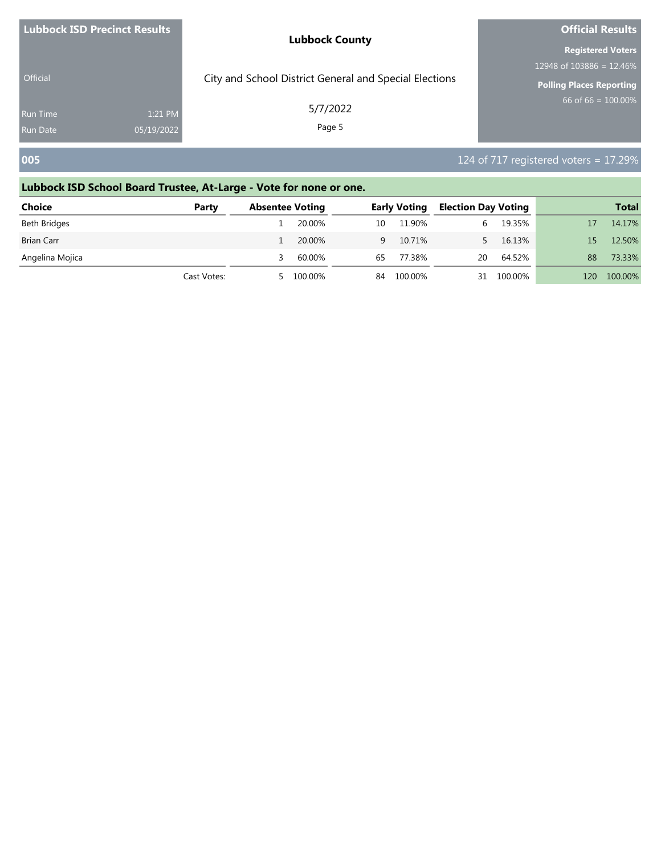| <b>Lubbock ISD Precinct Results</b> |            | <b>Lubbock County</b>                                  | <b>Official Results</b>                                 |
|-------------------------------------|------------|--------------------------------------------------------|---------------------------------------------------------|
|                                     |            |                                                        | <b>Registered Voters</b><br>12948 of $103886 = 12.46\%$ |
| <b>Official</b>                     |            | City and School District General and Special Elections | <b>Polling Places Reporting</b>                         |
| <b>Run Time</b>                     | 1:21 PM    | 5/7/2022                                               | 66 of 66 = $100.00\%$                                   |
| <b>Run Date</b>                     | 05/19/2022 | Page 5                                                 |                                                         |
| 005                                 |            |                                                        | 124 of 717 registered voters = $17.29\%$                |

| <b>Choice</b>     | Party       | <b>Absentee Voting</b> |    | <b>Early Voting</b> | <b>Election Day Voting</b> |         |      | <b>Total</b> |
|-------------------|-------------|------------------------|----|---------------------|----------------------------|---------|------|--------------|
| Beth Bridges      |             | 20.00%                 | 10 | 11.90%              | b                          | 19.35%  |      | 14.17%       |
| <b>Brian Carr</b> |             | 20.00%                 | 9. | 10.71%              |                            | 16.13%  |      | 12.50%       |
| Angelina Mojica   |             | 60.00%                 | 65 | 77.38%              | 20                         | 64.52%  | 88   | 73.33%       |
|                   | Cast Votes: | 5 100.00%              | 84 | 100.00%             | 31                         | 100.00% | 120. | 100.00%      |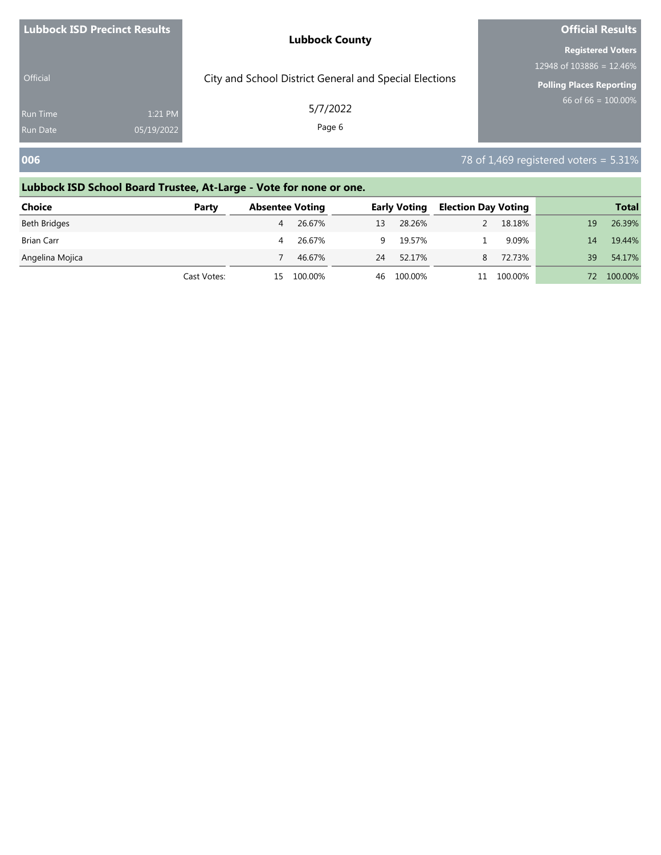| <b>Lubbock ISD Precinct Results</b><br><b>Official</b> |            | <b>Lubbock County</b>                                  | <b>Official Results</b>                              |  |  |
|--------------------------------------------------------|------------|--------------------------------------------------------|------------------------------------------------------|--|--|
|                                                        |            | City and School District General and Special Elections | <b>Registered Voters</b><br>12948 of 103886 = 12.46% |  |  |
|                                                        |            |                                                        | <b>Polling Places Reporting</b>                      |  |  |
| <b>Run Time</b>                                        | 1:21 PM    | 5/7/2022                                               | 66 of 66 = $100.00\%$                                |  |  |
| <b>Run Date</b>                                        | 05/19/2022 | Page 6                                                 |                                                      |  |  |
| 006                                                    |            |                                                        | $78$ of 1,469 registered voters = 5.31%              |  |  |

## **Lubbock ISD School Board Trustee, At-Large - Vote for none or one. Choice Party Absentee Voting Early Voting Election Day Voting Total** Beth Bridges 4 26.67% 13 28.26% 2 18.18% 19 26.39% Brian Carr 4 26.67% 9 19.57% 1 9.09% 14 19.44% Angelina Mojica **24 52.17% 24 52.17% 24 72.73%** 39 54.17% Cast Votes: 15 100.00% 46 100.00% 11 100.00% 72 100.00%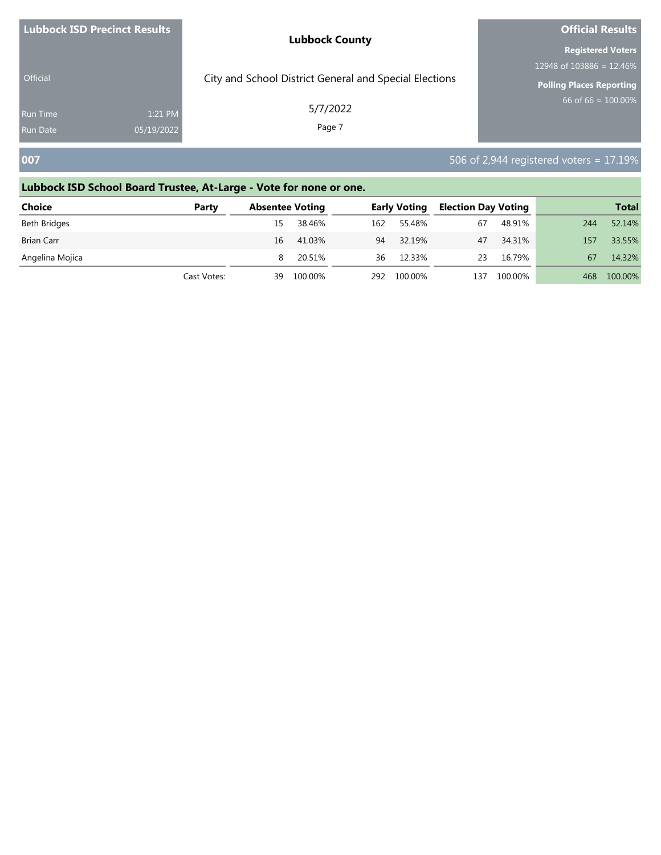| <b>Lubbock ISD Precinct Results</b> |                       | <b>Lubbock County</b>                                  | <b>Official Results</b>                                     |
|-------------------------------------|-----------------------|--------------------------------------------------------|-------------------------------------------------------------|
|                                     |                       |                                                        | <b>Registered Voters</b>                                    |
| Official                            |                       | City and School District General and Special Elections | 12948 of 103886 = 12.46%<br><b>Polling Places Reporting</b> |
| <b>Run Time</b><br><b>Run Date</b>  | 1:21 PM<br>05/19/2022 | 5/7/2022<br>Page 7                                     | 66 of 66 = $100.00\%$                                       |
| 007                                 |                       |                                                        | 506 of 2,944 registered voters = $17.19\%$                  |

| <b>Choice</b>   | Party       | <b>Absentee Voting</b> |         |     | <b>Early Voting</b> | <b>Election Day Voting</b> |         |     | <b>Total</b> |
|-----------------|-------------|------------------------|---------|-----|---------------------|----------------------------|---------|-----|--------------|
| Beth Bridges    |             | 15                     | 38.46%  | 162 | 55.48%              | 67                         | 48.91%  | 244 | 52.14%       |
| Brian Carr      |             | 16                     | 41.03%  | 94  | 32.19%              | 47                         | 34.31%  | 157 | 33.55%       |
| Angelina Mojica |             | 8                      | 20.51%  | 36  | 12.33%              | 23                         | 16.79%  | 67  | 14.32%       |
|                 | Cast Votes: | 39                     | 100.00% |     | 292 100.00%         | 137                        | 100.00% | 468 | 100.00%      |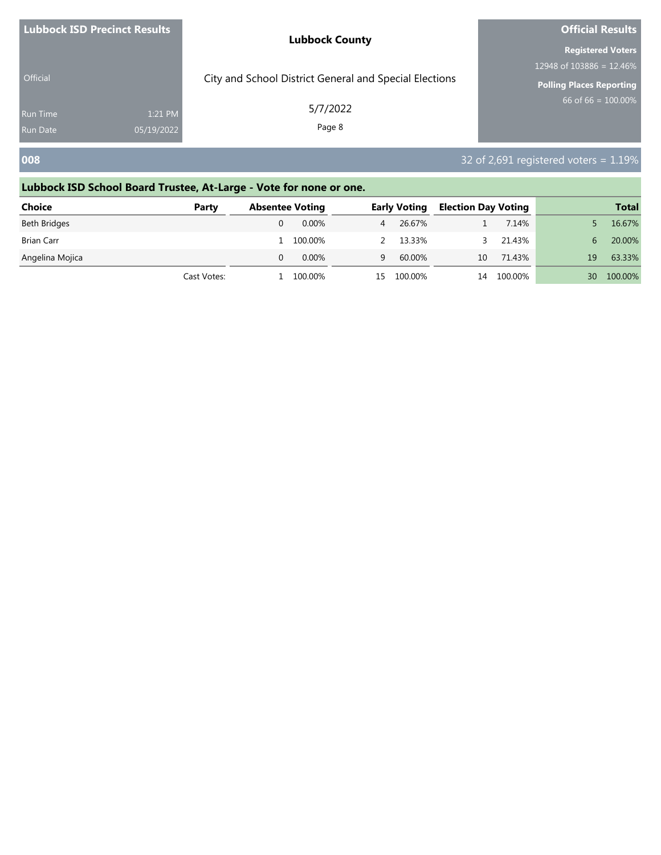| <b>Lubbock ISD Precinct Results</b> |            | <b>Lubbock County</b>                                  | <b>Official Results</b>                              |
|-------------------------------------|------------|--------------------------------------------------------|------------------------------------------------------|
|                                     |            |                                                        | <b>Registered Voters</b><br>12948 of 103886 = 12.46% |
| <b>Official</b>                     |            | City and School District General and Special Elections | <b>Polling Places Reporting</b>                      |
| <b>Run Time</b>                     | 1:21 PM    | 5/7/2022                                               | 66 of 66 = $100.00\%$                                |
| <b>Run Date</b>                     | 05/19/2022 | Page 8                                                 |                                                      |
| 008                                 |            |                                                        | 32 of 2,691 registered voters = $1.19\%$             |

| <b>Choice</b>     | Party       | <b>Absentee Voting</b> |         |   | <b>Early Voting</b> | <b>Election Day Voting</b> |         |              | <b>Total</b> |
|-------------------|-------------|------------------------|---------|---|---------------------|----------------------------|---------|--------------|--------------|
| Beth Bridges      |             |                        | 0.00%   |   | 26.67%              |                            | 7.14%   |              | 16.67%       |
| <b>Brian Carr</b> |             |                        | 100.00% |   | 13.33%              |                            | 21.43%  | $\mathbf{b}$ | 20.00%       |
| Angelina Mojica   |             |                        | 0.00%   | Q | 60.00%              | 10                         | 71.43%  | 19           | 63.33%       |
|                   | Cast Votes: |                        | 100.00% |   | 15 100.00%          | 14                         | 100.00% | 30           | 100.00%      |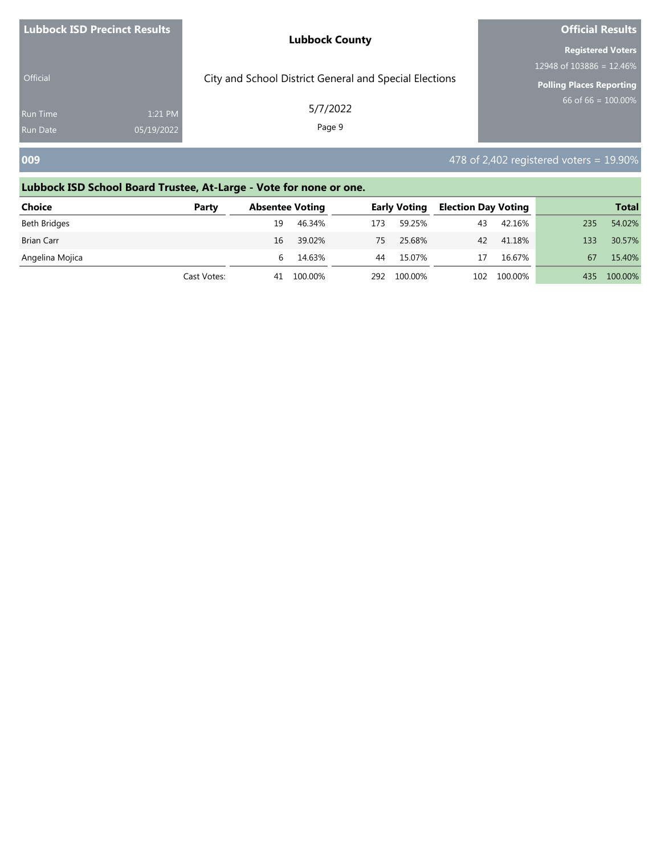|                                    | <b>Lubbock ISD Precinct Results</b> | <b>Lubbock County</b>                                  | <b>Official Results</b>                                                                 |  |  |
|------------------------------------|-------------------------------------|--------------------------------------------------------|-----------------------------------------------------------------------------------------|--|--|
| <b>Official</b>                    |                                     | City and School District General and Special Elections | <b>Registered Voters</b><br>12948 of 103886 = 12.46%<br><b>Polling Places Reporting</b> |  |  |
| <b>Run Time</b><br><b>Run Date</b> | 1:21 PM<br>05/19/2022               | 5/7/2022<br>Page 9                                     | 66 of $66 = 100.00\%$                                                                   |  |  |
| 009                                |                                     |                                                        | 478 of 2,402 registered voters = $19.90\%$                                              |  |  |

| <b>Choice</b>     | Party       | <b>Absentee Voting</b> |         | <b>Early Voting</b> |             | <b>Election Day Voting</b> |         |     | <b>Total</b> |
|-------------------|-------------|------------------------|---------|---------------------|-------------|----------------------------|---------|-----|--------------|
| Beth Bridges      |             | 19                     | 46.34%  | 173                 | 59.25%      | 43                         | 42.16%  | 235 | 54.02%       |
| <b>Brian Carr</b> |             | 16                     | 39.02%  | 75                  | 25.68%      | 42                         | 41.18%  | 133 | 30.57%       |
| Angelina Mojica   |             | h.                     | 14.63%  | 44                  | 15.07%      | 17                         | 16.67%  | 67  | 15.40%       |
|                   | Cast Votes: | 41                     | 100.00% |                     | 292 100.00% | 102                        | 100.00% | 435 | 100.00%      |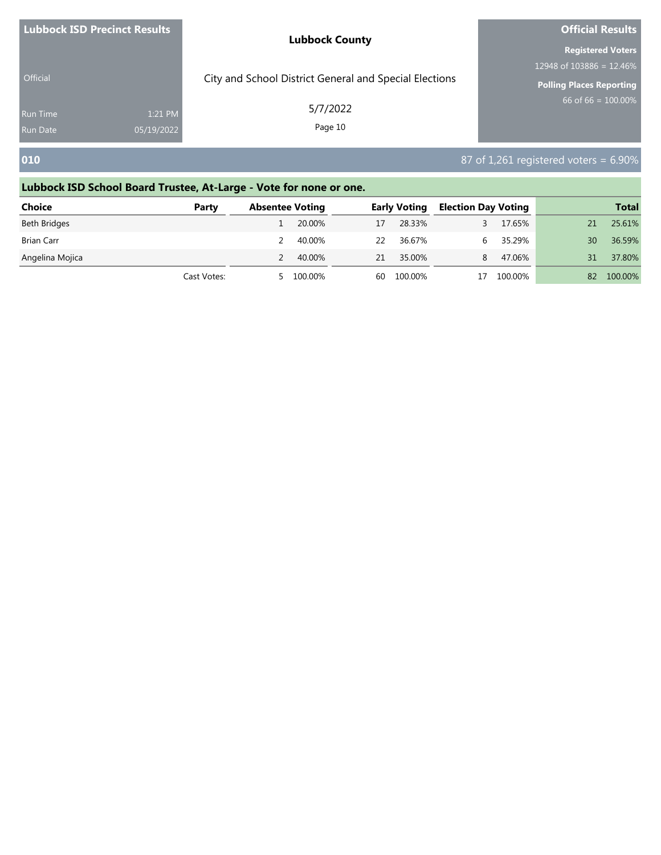|                                    | <b>Lubbock ISD Precinct Results</b> | <b>Lubbock County</b>                                  | <b>Official Results</b>                                     |  |  |
|------------------------------------|-------------------------------------|--------------------------------------------------------|-------------------------------------------------------------|--|--|
|                                    |                                     |                                                        | <b>Registered Voters</b>                                    |  |  |
| Official                           |                                     | City and School District General and Special Elections | 12948 of 103886 = 12.46%<br><b>Polling Places Reporting</b> |  |  |
| <b>Run Time</b><br><b>Run Date</b> | 1:21 PM<br>05/19/2022               | 5/7/2022<br>Page 10                                    | 66 of 66 = $\overline{100.00\%}$                            |  |  |
| 010                                |                                     |                                                        | $87$ of 1,261 registered voters = 6.90%                     |  |  |

| <b>Choice</b>   | Party       | <b>Absentee Voting</b> |         | <b>Early Voting</b> |         | <b>Election Day Voting</b> |         |    | <b>Total</b> |
|-----------------|-------------|------------------------|---------|---------------------|---------|----------------------------|---------|----|--------------|
| Beth Bridges    |             |                        | 20.00%  | 17                  | 28.33%  |                            | 17.65%  | 21 | 25.61%       |
| Brian Carr      |             |                        | 40.00%  | 22                  | 36.67%  |                            | 35.29%  | 30 | 36.59%       |
| Angelina Mojica |             |                        | 40.00%  | 21                  | 35.00%  | 8.                         | 47.06%  | 31 | 37.80%       |
|                 | Cast Votes: |                        | 100.00% | 60                  | 100.00% |                            | 100.00% | 82 | 100.00%      |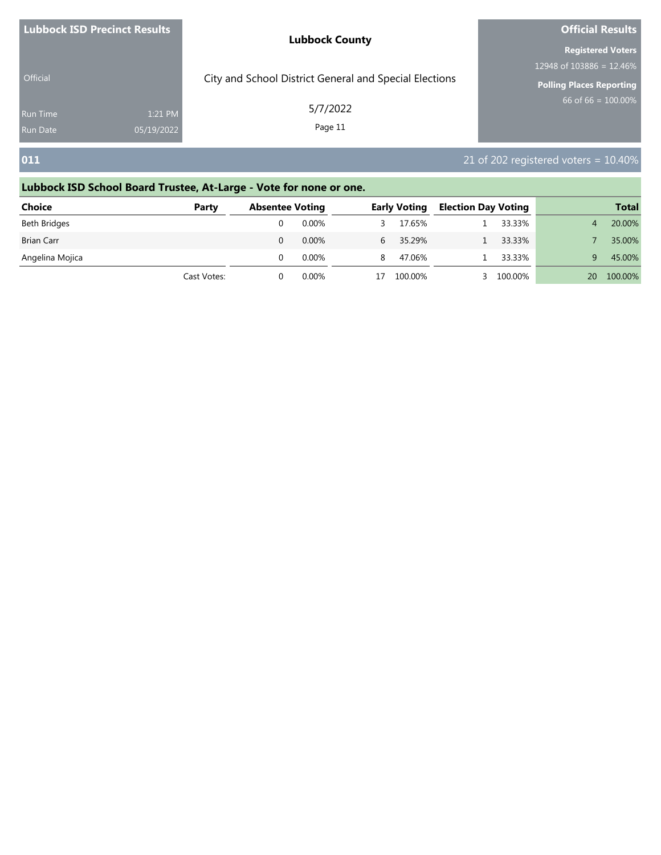|                                                                                                       | <b>Official Results</b>  |  |  |
|-------------------------------------------------------------------------------------------------------|--------------------------|--|--|
| <b>Lubbock County</b>                                                                                 | <b>Registered Voters</b> |  |  |
| 12948 of $103886 = 12.46\%$                                                                           |                          |  |  |
| City and School District General and Special Elections<br><b>Official</b><br>Polling Places Reporting |                          |  |  |
| 5/7/2022<br>1:21 PM<br><b>Run Time</b>                                                                | 66 of 66 = $100.00\%$    |  |  |
| Page 11<br>05/19/2022<br><b>Run Date</b>                                                              |                          |  |  |

**011** 21 of 202 registered voters = 10.40%

## **Lubbock ISD School Board Trustee, At-Large - Vote for none or one. Choice Party Absentee Voting Early Voting Election Day Voting Total** Beth Bridges 0 0.00% 3 17.65% 1 33.33% 4 20.00% Brian Carr 0 0.00% 6 35.29% 1 33.33% 7 35.00% Angelina Mojica **8 2008 1 2008 1 2008 1 33.33%** 9 45.00% 1 45.00% 1 45.00% 1 45.00% Cast Votes: 0 0.00% 17 100.00% 3 100.00% 20 100.00%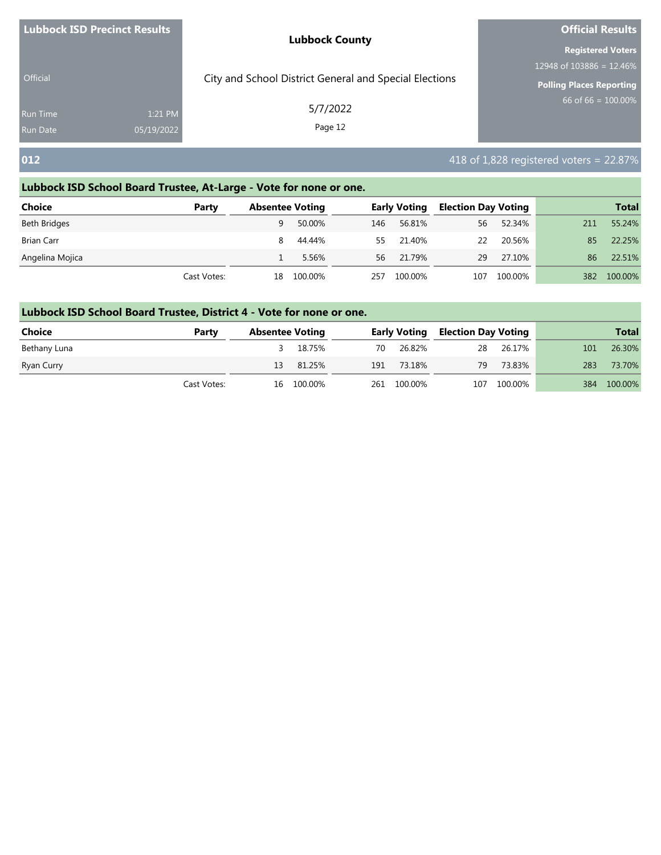| <b>Lubbock ISD Precinct Results</b> | <b>Lubbock County</b>                                  | <b>Official Results</b>         |  |  |
|-------------------------------------|--------------------------------------------------------|---------------------------------|--|--|
|                                     |                                                        | <b>Registered Voters</b>        |  |  |
|                                     |                                                        | 12948 of 103886 = 12.46%        |  |  |
| <b>Official</b>                     | City and School District General and Special Elections | <b>Polling Places Reporting</b> |  |  |
| 1:21 PM<br><b>Run Time</b>          | 5/7/2022                                               | 66 of $66 = 100.00\%$           |  |  |
| 05/19/2022<br><b>Run Date</b>       | Page 12                                                |                                 |  |  |

## **012** 418 of 1,828 registered voters = 22.87%

### **Lubbock ISD School Board Trustee, At-Large - Vote for none or one.**

| <b>Choice</b>   | Party       | <b>Absentee Voting</b> |         | <b>Early Voting</b> |         | <b>Election Day Voting</b> |         |     | <b>Total</b> |
|-----------------|-------------|------------------------|---------|---------------------|---------|----------------------------|---------|-----|--------------|
| Beth Bridges    |             | 9                      | 50.00%  | 146                 | 56.81%  | 56                         | 52.34%  | 211 | 55.24%       |
| Brian Carr      |             | 8                      | 44.44%  | 55                  | 21.40%  | 22                         | 20.56%  | 85  | 22.25%       |
| Angelina Mojica |             |                        | 5.56%   | 56                  | 21.79%  | 29                         | 27.10%  | 86  | 22.51%       |
|                 | Cast Votes: | 18                     | 100.00% | 257                 | 100.00% | 107                        | 100.00% | 382 | 100.00%      |

| <b>Choice</b> | Party       | <b>Absentee Voting</b> |            |             |    | <b>Early Voting Election Day Voting</b> |     | <b>Total</b> |
|---------------|-------------|------------------------|------------|-------------|----|-----------------------------------------|-----|--------------|
| Bethany Luna  |             |                        | 18.75%     | 70 26.82%   |    | 28 26.17%                               | 101 | 26.30%       |
| Ryan Curry    |             |                        | 13 81.25%  | 191 73.18%  | 79 | 73.83%                                  | 283 | 73.70%       |
|               | Cast Votes: |                        | 16 100.00% | 261 100.00% |    | 107 100.00%                             |     | 384 100.00%  |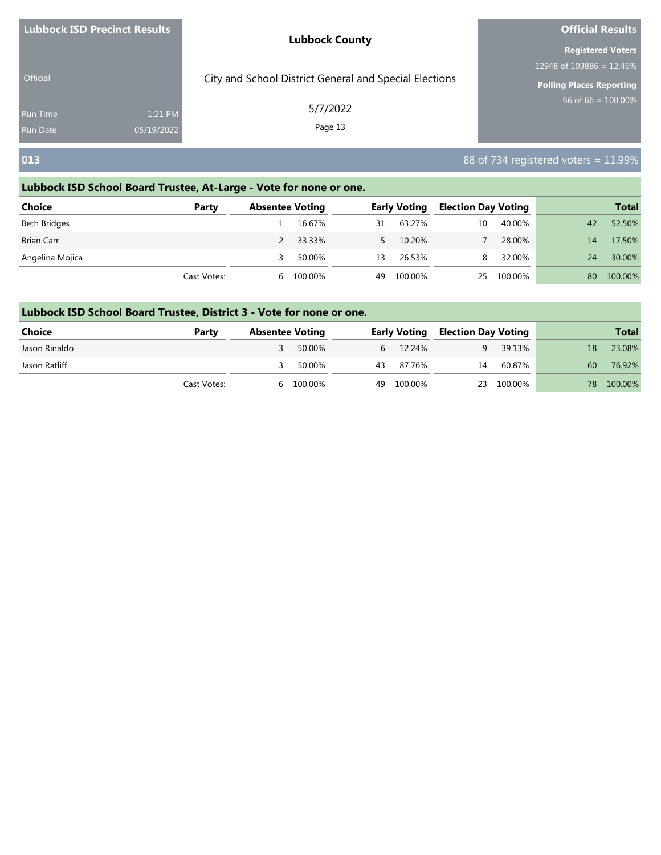| <b>Lubbock ISD Precinct Results</b> |                       | <b>Lubbock County</b>                                  | <b>Official Results</b>         |  |  |
|-------------------------------------|-----------------------|--------------------------------------------------------|---------------------------------|--|--|
|                                     |                       |                                                        | <b>Registered Voters</b>        |  |  |
|                                     |                       |                                                        | 12948 of 103886 = 12.46%        |  |  |
| <b>Official</b>                     |                       | City and School District General and Special Elections | <b>Polling Places Reporting</b> |  |  |
| <b>Run Time</b><br>Run Date         | 1:21 PM<br>05/19/2022 | 5/7/2022<br>Page 13                                    | 66 of 66 = $100.00\%$           |  |  |
|                                     |                       |                                                        |                                 |  |  |

## **013** 88 of 734 registered voters = 11.99%

### **Lubbock ISD School Board Trustee, At-Large - Vote for none or one.**

| <b>Choice</b>     | Party       | <b>Absentee Voting</b> |          | <b>Early Voting</b> |         | <b>Election Day Voting</b> |         |    | <b>Total</b> |
|-------------------|-------------|------------------------|----------|---------------------|---------|----------------------------|---------|----|--------------|
| Beth Bridges      |             |                        | 16.67%   | 31                  | 63.27%  | 10                         | 40.00%  | 42 | 52.50%       |
| <b>Brian Carr</b> |             |                        | 2 33.33% |                     | 10.20%  |                            | 28.00%  | 14 | 17.50%       |
| Angelina Mojica   |             |                        | 50.00%   | 13                  | 26.53%  | 8.                         | 32.00%  | 24 | 30.00%       |
|                   | Cast Votes: | b                      | 100.00%  | 49                  | 100.00% | 25                         | 100.00% | 80 | 100.00%      |

| <b>Choice</b> | Party       | <b>Absentee Voting</b> |           | <b>Early Voting</b> | <b>Election Day Voting</b> |            |    | <b>Total</b> |
|---------------|-------------|------------------------|-----------|---------------------|----------------------------|------------|----|--------------|
| Jason Rinaldo |             |                        | 50.00%    | 6 12.24%            | 9                          | 39.13%     | 18 | 23.08%       |
| Jason Ratliff |             |                        | 50.00%    | 43 87.76%           | 14                         | 60.87%     | 60 | 76.92%       |
|               | Cast Votes: |                        | 6 100.00% | 49 100.00%          |                            | 23 100.00% |    | 78 100.00%   |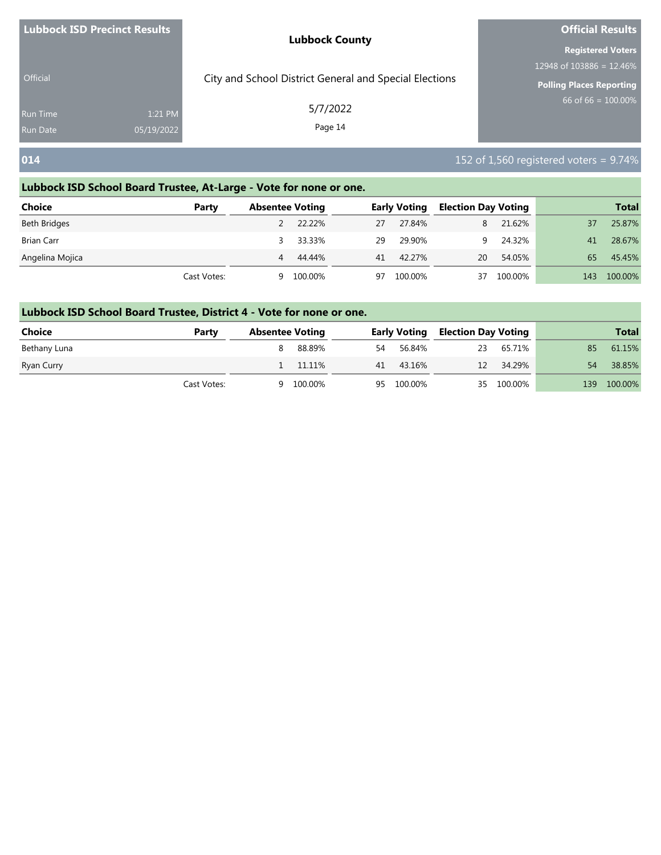| <b>Lubbock ISD Precinct Results</b> |            | <b>Lubbock County</b>                                  | <b>Official Results</b>         |  |  |
|-------------------------------------|------------|--------------------------------------------------------|---------------------------------|--|--|
|                                     |            |                                                        | <b>Registered Voters</b>        |  |  |
|                                     |            |                                                        | 12948 of $103886 = 12.46\%$     |  |  |
| Official                            |            | City and School District General and Special Elections | <b>Polling Places Reporting</b> |  |  |
| <b>Run Time</b>                     | 1:21 PM    | 5/7/2022                                               | 66 of $66 = 100.00\%$           |  |  |
| <b>Run Date</b>                     | 05/19/2022 | Page 14                                                |                                 |  |  |

## **014** 152 of 1,560 registered voters = 9.74%

### **Lubbock ISD School Board Trustee, At-Large - Vote for none or one.**

| <b>Choice</b>   | Party       | <b>Absentee Voting</b> |          | <b>Early Voting</b> |         | <b>Election Day Voting</b> |         |     | <b>Total</b> |
|-----------------|-------------|------------------------|----------|---------------------|---------|----------------------------|---------|-----|--------------|
| Beth Bridges    |             |                        | 22.22%   | 27                  | 27.84%  | 8                          | 21.62%  | 37  | 25.87%       |
| Brian Carr      |             |                        | 3 33.33% | 29                  | 29.90%  | Q                          | 24.32%  | 41  | 28.67%       |
| Angelina Mojica |             | 4                      | 44.44%   | 41                  | 42.27%  | 20                         | 54.05%  | 65  | 45.45%       |
|                 | Cast Votes: | q                      | 100.00%  | 97                  | 100.00% | 37                         | 100.00% | 143 | 100.00%      |

| <b>Choice</b> | Party       | <b>Absentee Voting</b> |          |    |            |    | <b>Early Voting Election Day Voting</b> |     | <b>Total</b> |
|---------------|-------------|------------------------|----------|----|------------|----|-----------------------------------------|-----|--------------|
| Bethany Luna  |             |                        | 88.89%   | 54 | 56.84%     | 23 | 65.71%                                  | 85  | 61.15%       |
| Ryan Curry    |             |                        | 1 11.11% |    | 41 43.16%  | 12 | 34.29%                                  | 54  | 38.85%       |
|               | Cast Votes: | q                      | 100.00%  |    | 95 100.00% |    | 35 100.00%                              | 139 | 100.00%      |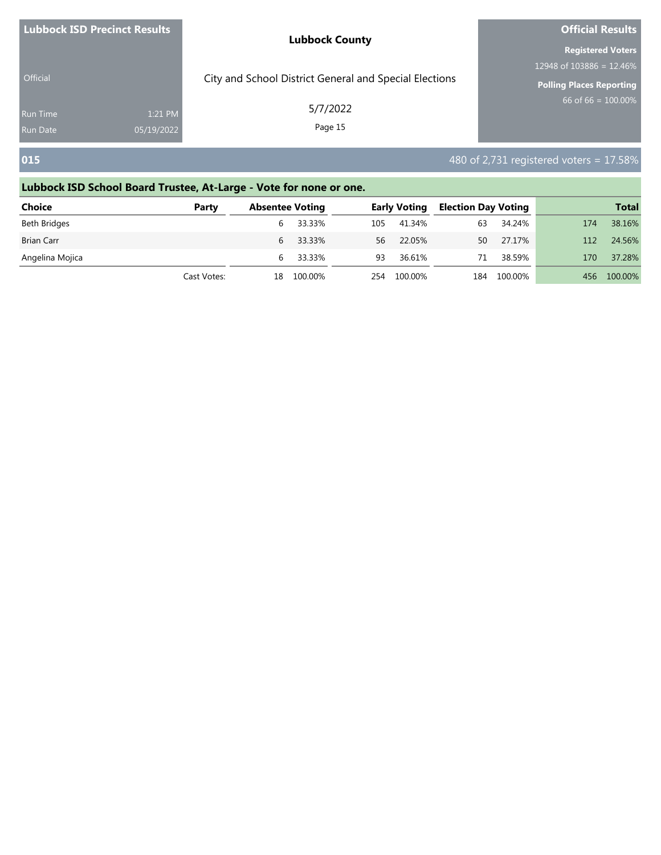| <b>Lubbock ISD Precinct Results</b> |            | <b>Lubbock County</b>                                  | <b>Official Results</b>         |
|-------------------------------------|------------|--------------------------------------------------------|---------------------------------|
|                                     |            | <b>Registered Voters</b>                               |                                 |
|                                     |            |                                                        | 12948 of 103886 = 12.46%        |
| <b>Official</b>                     |            | City and School District General and Special Elections | <b>Polling Places Reporting</b> |
| <b>Run Time</b>                     | 1:21 PM    | 5/7/2022                                               | $66$ of 66 = 100.00%            |
| <b>Run Date</b>                     | 05/19/2022 | Page 15                                                |                                 |
|                                     |            |                                                        |                                 |

**015** 480 of 2,731 registered voters = 17.58%

### **Lubbock ISD School Board Trustee, At-Large - Vote for none or one. Choice Party Absentee Voting Early Voting Election Day Voting Total**

| CHUICE            | r ar tv     | <b>ADSERTED VOLING</b> |          |     | <b>EATIV VOLING</b> | <b>EIGLION DAY VOLING</b> |         |     | <b>TULAI</b> |
|-------------------|-------------|------------------------|----------|-----|---------------------|---------------------------|---------|-----|--------------|
| Beth Bridges      |             |                        | 6 33.33% | 105 | 41.34%              | 63                        | 34.24%  | 174 | 38.16%       |
| <b>Brian Carr</b> |             |                        | 6 33.33% | 56  | 22.05%              | 50                        | 27.17%  | 112 | 24.56%       |
| Angelina Mojica   |             |                        | 6 33.33% | 93  | 36.61%              | 71                        | 38.59%  | 170 | 37.28%       |
|                   | Cast Votes: | 18                     | 100.00%  | 254 | 100.00%             | 184                       | 100.00% |     | 456 100.00%  |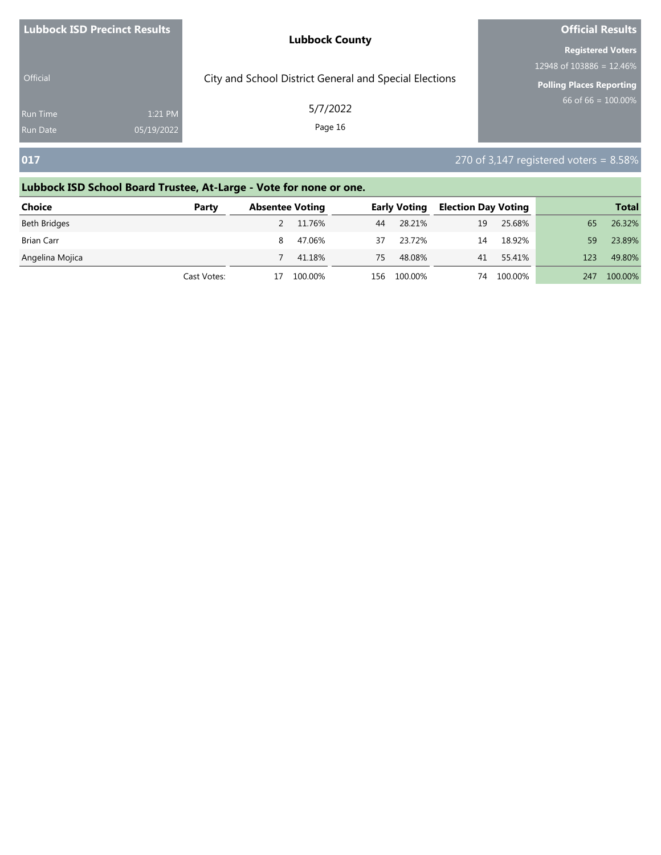| <b>Lubbock ISD Precinct Results</b> | <b>Lubbock County</b>                                  | <b>Official Results</b>  |  |  |
|-------------------------------------|--------------------------------------------------------|--------------------------|--|--|
|                                     | <b>Registered Voters</b>                               |                          |  |  |
|                                     |                                                        | 12948 of 103886 = 12.46% |  |  |
| <b>Official</b>                     | City and School District General and Special Elections | Polling Places Reporting |  |  |
| 1:21 PM<br><b>Run Time</b>          | 5/7/2022                                               | 66 of 66 = $100.00\%$    |  |  |
| <b>Run Date</b><br>05/19/2022       | Page 16                                                |                          |  |  |

### **017** 270 of 3,147 registered voters = 8.58%

## **Lubbock ISD School Board Trustee, At-Large - Vote for none or one. Choice Party Absentee Voting Early Voting Election Day Voting Total** Beth Bridges 2 11.76% 44 28.21% 19 25.68% 65 26.32% Brian Carr 8 47.06% 37 23.72% 14 18.92% 59 23.89% Angelina Mojica 7 41.18% 75 48.08% 41 55.41% 123 49.80% Cast Votes: 17 100.00% 156 100.00% 74 100.00% 247 100.00%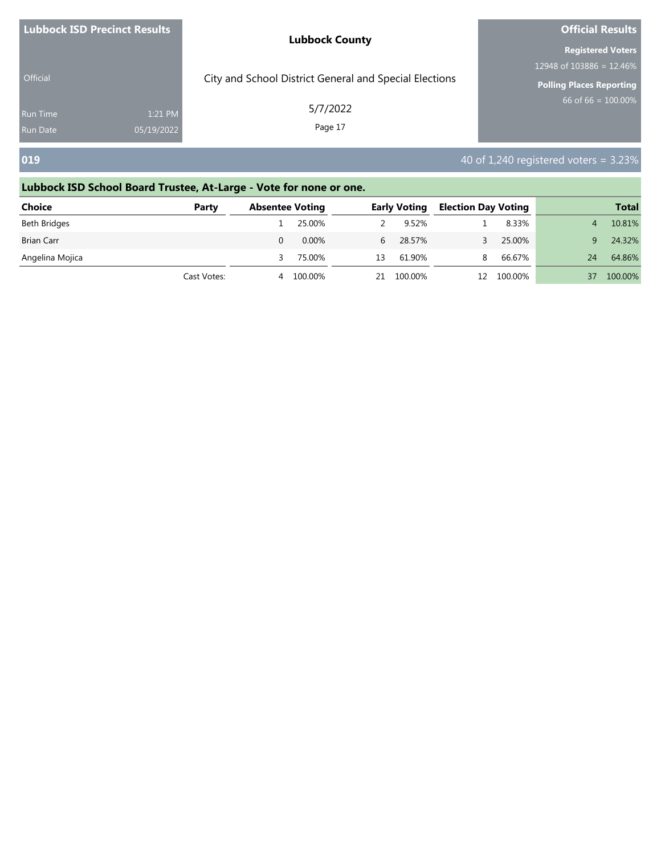| <b>Lubbock ISD Precinct Results</b> |            | <b>Lubbock County</b>                                  | <b>Official Results</b>         |
|-------------------------------------|------------|--------------------------------------------------------|---------------------------------|
|                                     |            | <b>Registered Voters</b>                               |                                 |
|                                     |            |                                                        | 12948 of 103886 = 12.46%        |
| <b>Official</b>                     |            | City and School District General and Special Elections | <b>Polling Places Reporting</b> |
| <b>Run Time</b>                     | 1:21 PM    | 5/7/2022                                               | $66$ of 66 = 100.00%            |
| <b>Run Date</b>                     | 05/19/2022 | Page 17                                                |                                 |
|                                     |            |                                                        |                                 |

**019 1019 1018 1020 1020 1020 1020 1020 1020 1020 1020 1020 1020 40 40 1**,240 **registered voters = 3.23%** 

| <b>Choice</b>     | Party       | <b>Absentee Voting</b> |          | <b>Early Voting</b> |            | <b>Election Day Voting</b> |         |    | <b>Total</b> |
|-------------------|-------------|------------------------|----------|---------------------|------------|----------------------------|---------|----|--------------|
| Beth Bridges      |             |                        | 25.00%   |                     | 9.52%      |                            | 8.33%   |    | 10.81%       |
| <b>Brian Carr</b> |             |                        | $0.00\%$ | 6                   | 28.57%     |                            | 25.00%  |    | 24.32%       |
| Angelina Mojica   |             |                        | 75.00%   | 13                  | 61.90%     | 8                          | 66.67%  | 24 | 64.86%       |
|                   | Cast Votes: | 4                      | 100.00%  |                     | 21 100.00% | 12                         | 100.00% | 37 | 100.00%      |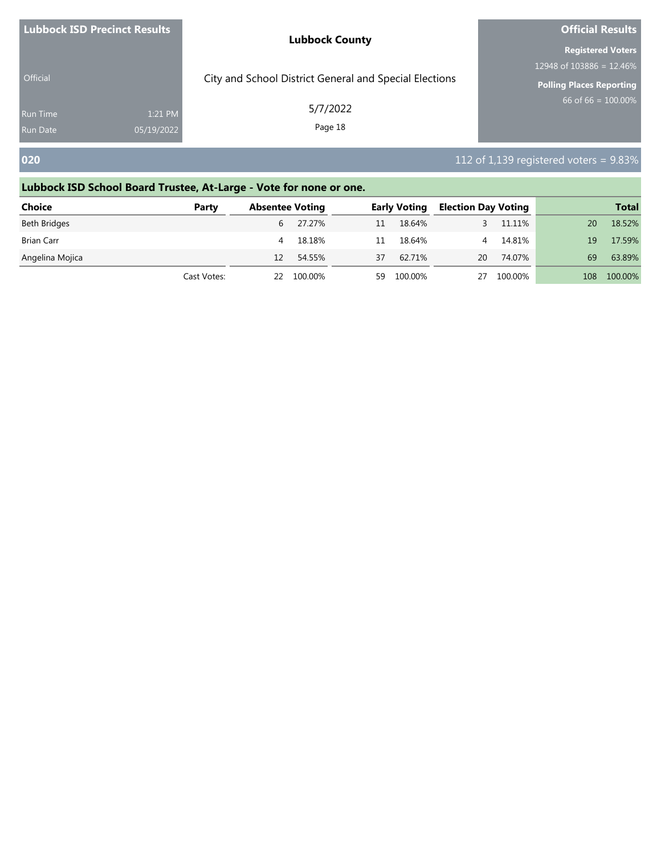|                 | <b>Lubbock ISD Precinct Results</b> | <b>Lubbock County</b>                                  | <b>Official Results</b>  |
|-----------------|-------------------------------------|--------------------------------------------------------|--------------------------|
|                 |                                     | <b>Registered Voters</b>                               |                          |
|                 |                                     |                                                        | 12948 of 103886 = 12.46% |
| <b>Official</b> |                                     | City and School District General and Special Elections | Polling Places Reporting |
| <b>Run Time</b> | 1:21 PM                             | 5/7/2022                                               | 66 of 66 = $100.00\%$    |
| <b>Run Date</b> | 05/19/2022                          | Page 18                                                |                          |
|                 |                                     |                                                        |                          |

### **020** 112 of 1,139 registered voters = 9.83%

## **Lubbock ISD School Board Trustee, At-Large - Vote for none or one. Choice Party Absentee Voting Early Voting Election Day Voting Total** Beth Bridges 6 27.27% 11 18.64% 3 11.11% 20 18.52% Brian Carr 4 18.18% 11 18.64% 4 14.81% 19 17.59% Angelina Mojica **12 54.55%** 37 62.71% 20 74.07% 69 63.89% Cast Votes: 22 100.00% 59 100.00% 27 100.00% 108 100.00%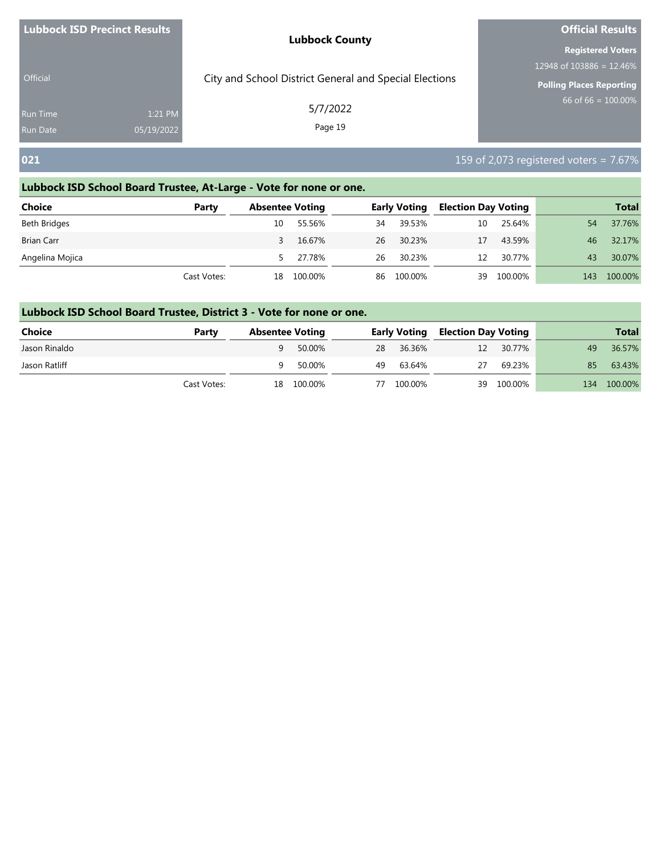| <b>Lubbock ISD Precinct Results</b> | <b>Lubbock County</b>                                  | <b>Official Results</b>         |  |  |
|-------------------------------------|--------------------------------------------------------|---------------------------------|--|--|
|                                     |                                                        | <b>Registered Voters</b>        |  |  |
|                                     |                                                        | $12948$ of $103886 = 12.46\%$   |  |  |
| <b>Official</b>                     | City and School District General and Special Elections | <b>Polling Places Reporting</b> |  |  |
| 1:21 PM<br><b>Run Time</b>          | 5/7/2022                                               | 66 of 66 = $100.00\%$           |  |  |
| 05/19/2022<br><b>Run Date</b>       | Page 19                                                |                                 |  |  |

## **021 159 of 2,073 registered voters = 7.67%**

### **Lubbock ISD School Board Trustee, At-Large - Vote for none or one.**

| <b>Choice</b>     | Party       | <b>Absentee Voting</b> |         | <b>Early Voting</b> |         | <b>Election Day Voting</b> |         |     | <b>Total</b> |
|-------------------|-------------|------------------------|---------|---------------------|---------|----------------------------|---------|-----|--------------|
| Beth Bridges      |             | 10                     | 55.56%  | 34                  | 39.53%  | 10                         | 25.64%  | 54  | 37.76%       |
| <b>Brian Carr</b> |             |                        | 16.67%  | 26                  | 30.23%  | 17                         | 43.59%  | 46  | 32.17%       |
| Angelina Mojica   |             | 5.                     | 27.78%  | 26                  | 30.23%  | 12                         | 30.77%  | 43  | 30.07%       |
|                   | Cast Votes: | 18                     | 100.00% | 86                  | 100.00% | 39                         | 100.00% | 143 | 100.00%      |

| <b>Choice</b> | Party       | <b>Absentee Voting</b> |            |    |            | <b>Early Voting Election Day Voting</b> |            |    | <b>Total</b> |
|---------------|-------------|------------------------|------------|----|------------|-----------------------------------------|------------|----|--------------|
| Jason Rinaldo |             | q                      | 50.00%     |    | 28 36.36%  | 12                                      | 30.77%     | 49 | 36.57%       |
| Jason Ratliff |             | a                      | 50.00%     | 49 | 63.64%     | 27                                      | 69.23%     | 85 | 63.43%       |
|               | Cast Votes: |                        | 18 100.00% |    | 77 100.00% |                                         | 39 100.00% |    | 134 100.00%  |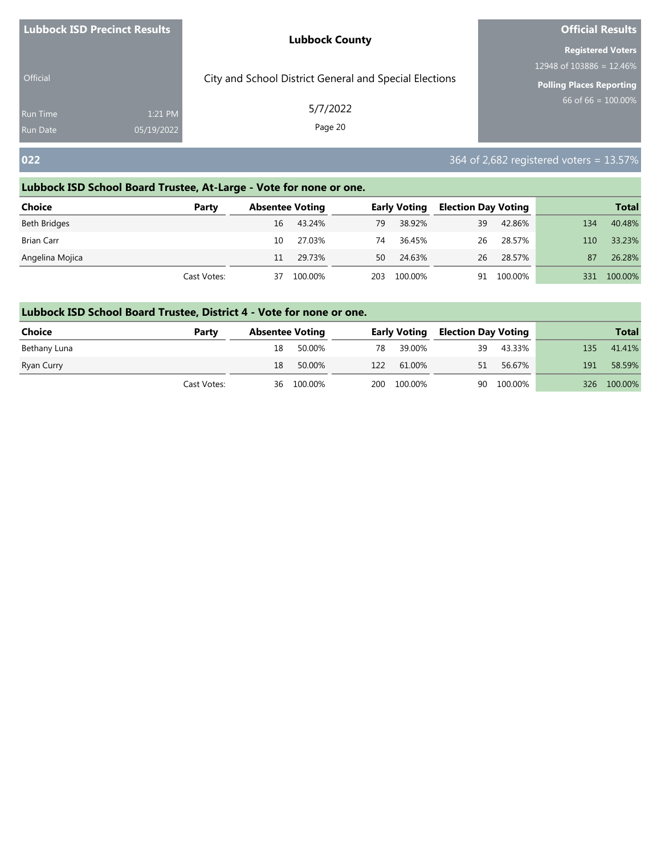|                 | <b>Lubbock ISD Precinct Results</b> | <b>Lubbock County</b>                                  | <b>Official Results</b>                              |
|-----------------|-------------------------------------|--------------------------------------------------------|------------------------------------------------------|
|                 |                                     |                                                        | <b>Registered Voters</b><br>12948 of 103886 = 12.46% |
| <b>Official</b> |                                     | City and School District General and Special Elections | <b>Polling Places Reporting</b>                      |
| <b>Run Time</b> | 1:21 PM                             | 5/7/2022                                               | 66 of $66 = 100.00\%$                                |
| <b>Run Date</b> | 05/19/2022                          | Page 20                                                |                                                      |
| 022             |                                     |                                                        | $364$ of 2,682 registered voters = 13.57%            |

| <b>Choice</b>     | Party       | <b>Absentee Voting</b> |         |     | <b>Early Voting</b> | <b>Election Day Voting</b> |            |     | <b>Total</b> |
|-------------------|-------------|------------------------|---------|-----|---------------------|----------------------------|------------|-----|--------------|
| Beth Bridges      |             | 16                     | 43.24%  | 79  | 38.92%              | 39                         | 42.86%     | 134 | 40.48%       |
| <b>Brian Carr</b> |             | 10                     | 27.03%  | 74  | 36.45%              | 26                         | 28.57%     | 110 | 33.23%       |
| Angelina Mojica   |             | 11                     | 29.73%  | 50  | 24.63%              | 26                         | 28.57%     | 87  | 26.28%       |
|                   | Cast Votes: | 37                     | 100.00% | 203 | 100.00%             |                            | 91 100.00% | 331 | 100.00%      |

| <b>Choice</b> | Party       | <b>Absentee Voting</b> |            |     |             | <b>Early Voting Election Day Voting</b> |            |     | <b>Total</b> |
|---------------|-------------|------------------------|------------|-----|-------------|-----------------------------------------|------------|-----|--------------|
| Bethany Luna  |             | 18                     | 50.00%     | 78  | 39.00%      | 39                                      | 43.33%     | 135 | 41.41%       |
| Ryan Curry    |             | 18                     | 50.00%     | 122 | 61.00%      | 51                                      | 56.67%     | 191 | 58.59%       |
|               | Cast Votes: |                        | 36 100.00% |     | 200 100.00% |                                         | 90 100.00% |     | 326 100.00%  |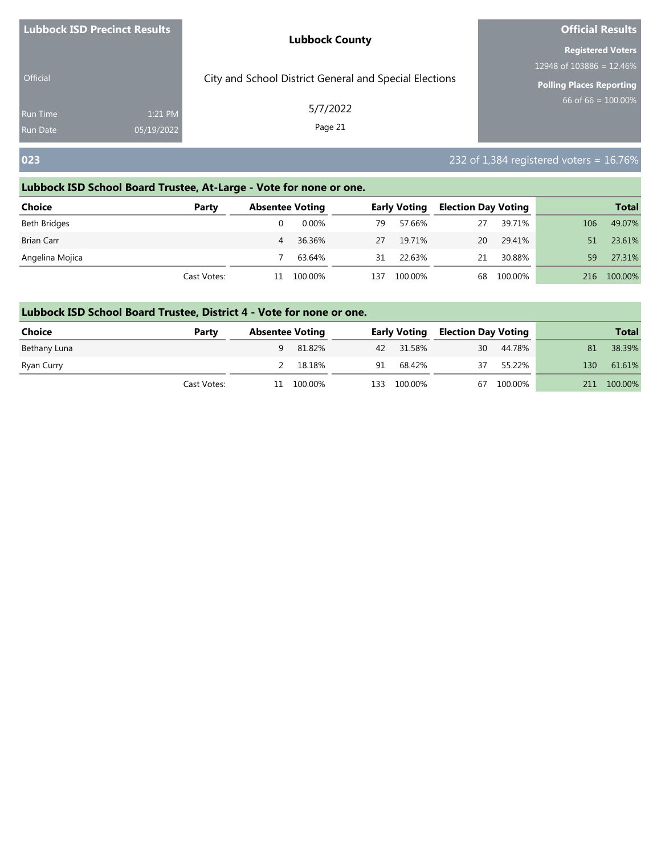|                 | <b>Lubbock ISD Precinct Results</b> | <b>Lubbock County</b>                                  | <b>Official Results</b>                              |  |  |
|-----------------|-------------------------------------|--------------------------------------------------------|------------------------------------------------------|--|--|
|                 |                                     |                                                        | <b>Registered Voters</b><br>12948 of 103886 = 12.46% |  |  |
| <b>Official</b> |                                     | City and School District General and Special Elections | <b>Polling Places Reporting</b>                      |  |  |
| <b>Run Time</b> | 1:21 PM                             | 5/7/2022                                               | 66 of $66 = 100.00\%$                                |  |  |
| <b>Run Date</b> | 05/19/2022                          | Page 21                                                |                                                      |  |  |
| 023             |                                     |                                                        | 232 of 1,384 registered voters = $16.76\%$           |  |  |

| <b>Choice</b>     | Party       | <b>Absentee Voting</b> |          |     | <b>Early Voting</b> | <b>Election Day Voting</b> |         |              | <b>Total</b> |
|-------------------|-------------|------------------------|----------|-----|---------------------|----------------------------|---------|--------------|--------------|
| Beth Bridges      |             |                        | $0.00\%$ | 79  | 57.66%              | 27                         | 39.71%  | 106          | 49.07%       |
| <b>Brian Carr</b> |             | 4                      | 36.36%   | 27  | 19.71%              | 20                         | 29.41%  | $51^{\circ}$ | 23.61%       |
| Angelina Mojica   |             |                        | 63.64%   | 31  | 22.63%              | 21                         | 30.88%  | 59           | 27.31%       |
|                   | Cast Votes: | 11                     | 100.00%  | 137 | 100.00%             | 68                         | 100.00% | 216          | 100.00%      |

| <b>Choice</b> | Party       | <b>Absentee Voting</b> |            |             | <b>Early Voting Election Day Voting</b> |            |     | <b>Total</b> |
|---------------|-------------|------------------------|------------|-------------|-----------------------------------------|------------|-----|--------------|
| Bethany Luna  |             | q                      | 81.82%     | 42 31.58%   | 30                                      | 44.78%     | 81  | 38.39%       |
| Ryan Curry    |             |                        | 18.18%     | 91 68.42%   |                                         | 37 55.22%  | 130 | 61.61%       |
|               | Cast Votes: |                        | 11 100.00% | 133 100.00% |                                         | 67 100.00% | 211 | 100.00%      |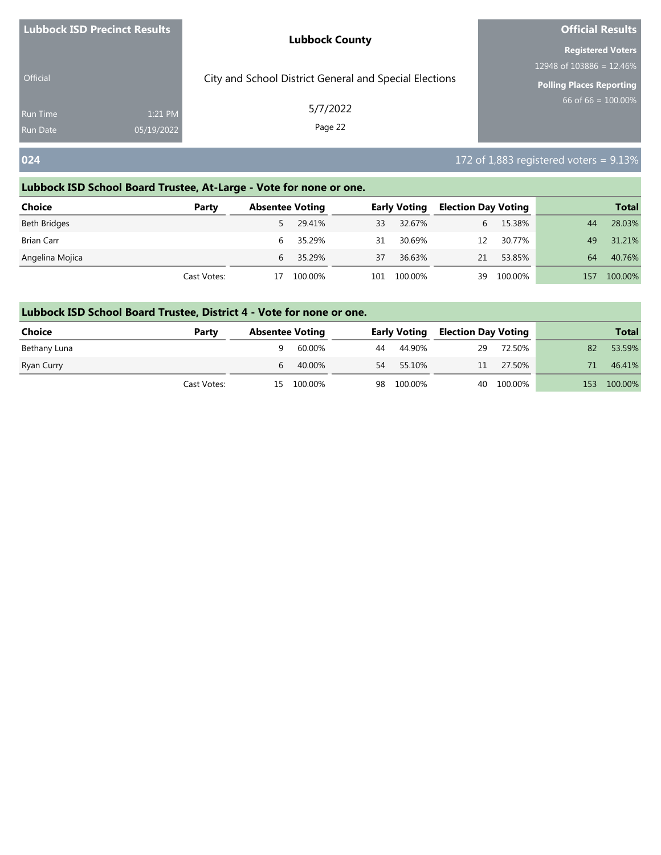|                 | <b>Lubbock ISD Precinct Results</b> | <b>Lubbock County</b>                                  | <b>Official Results</b>                                        |  |  |
|-----------------|-------------------------------------|--------------------------------------------------------|----------------------------------------------------------------|--|--|
|                 |                                     |                                                        | <b>Registered Voters</b>                                       |  |  |
| <b>Official</b> |                                     | City and School District General and Special Elections | 12948 of $103886 = 12.46\%$<br><b>Polling Places Reporting</b> |  |  |
| <b>Run Time</b> | 1:21 PM                             | 5/7/2022                                               | 66 of $66 = 100.00\%$                                          |  |  |
| <b>Run Date</b> | 05/19/2022                          | Page 22                                                |                                                                |  |  |
| 024             |                                     |                                                        | 172 of 1,883 registered voters = $9.13\%$                      |  |  |

| <b>Choice</b>     | Party       |    | <b>Absentee Voting</b> |    | <b>Early Voting</b> | <b>Election Day Voting</b> |         |     | <b>Total</b> |
|-------------------|-------------|----|------------------------|----|---------------------|----------------------------|---------|-----|--------------|
| Beth Bridges      |             | 5. | 29.41%                 | 33 | 32.67%              | 6                          | 15.38%  | 44  | 28.03%       |
| <b>Brian Carr</b> |             | 6  | 35.29%                 | 31 | 30.69%              | 12                         | 30.77%  | 49  | 31.21%       |
| Angelina Mojica   |             | 6  | 35.29%                 | 37 | 36.63%              | 21                         | 53.85%  | 64  | 40.76%       |
|                   | Cast Votes: | 17 | 100.00%                |    | 101 100.00%         | 39                         | 100.00% | 157 | 100.00%      |

| <b>Choice</b> | Party       | <b>Absentee Voting</b> |            |    |            | <b>Early Voting Election Day Voting</b> |            |     | <b>Total</b> |
|---------------|-------------|------------------------|------------|----|------------|-----------------------------------------|------------|-----|--------------|
| Bethany Luna  |             |                        | 60.00%     | 44 | 44.90%     | 29                                      | 72.50%     | 82  | 53.59%       |
| Ryan Curry    |             | 6                      | 40.00%     | 54 | 55.10%     | 11                                      | 27.50%     | 71  | 46.41%       |
|               | Cast Votes: |                        | 15 100.00% |    | 98 100.00% |                                         | 40 100.00% | 153 | 100.00%      |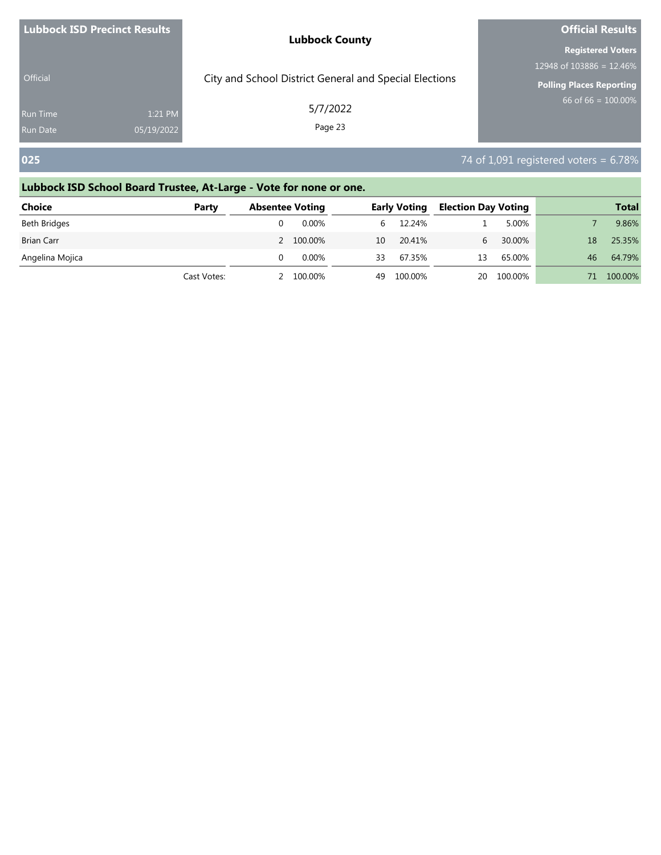| <b>Lubbock ISD Precinct Results</b> | <b>Lubbock County</b>                                  | <b>Official Results</b>  |  |  |
|-------------------------------------|--------------------------------------------------------|--------------------------|--|--|
|                                     |                                                        | <b>Registered Voters</b> |  |  |
|                                     |                                                        | 12948 of 103886 = 12.46% |  |  |
| <b>Official</b>                     | City and School District General and Special Elections | Polling Places Reporting |  |  |
| 1:21 PM<br><b>Run Time</b>          | 5/7/2022                                               | $66$ of 66 = 100.00%     |  |  |
| 05/19/2022<br>Run Date              | Page 23                                                |                          |  |  |

### **025** 74 of 1,091 registered voters = 6.78%

## **Lubbock ISD School Board Trustee, At-Large - Vote for none or one. Choice Party Absentee Voting Early Voting Election Day Voting Total** Beth Bridges 0 0.00% 6 12.24% 1 5.00% 7 9.86% Brian Carr 2 100.00% 10 20.41% 6 30.00% 18 25.35% Angelina Mojica 0 0.00% 33 67.35% 13 65.00% 46 64.79% Cast Votes: 2 100.00% 49 100.00% 20 100.00% 71 100.00%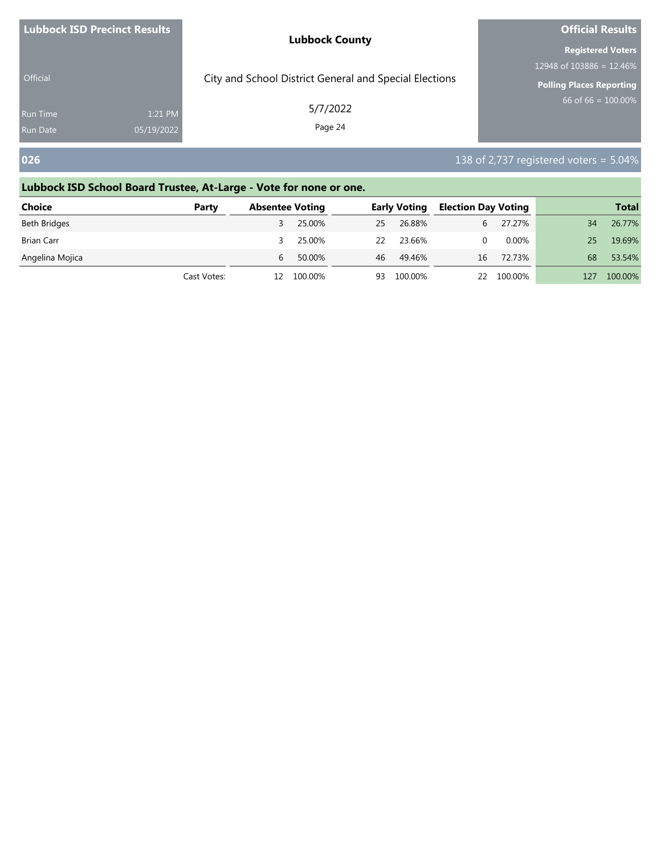| <b>Lubbock County</b>                                                                          |  |
|------------------------------------------------------------------------------------------------|--|
| <b>Registered Voters</b>                                                                       |  |
| 12948 of 103886 = 12.46%                                                                       |  |
| City and School District General and Special Elections<br>Official<br>Polling Places Reporting |  |
| 66 of 66 = $100.00\%$<br>5/7/2022<br>1:21 PM<br><b>Run Time</b>                                |  |
| Page 24<br>05/19/2022<br>Run Date                                                              |  |

### **026 138** of 2,737 registered voters = 5.04%

## **Lubbock ISD School Board Trustee, At-Large - Vote for none or one. Choice Party Absentee Voting Early Voting Election Day Voting Total** Beth Bridges 3 25.00% 25 26.88% 6 27.27% 34 26.77% Brian Carr 3 25.00% 22 23.66% 0 0.00% 25 19.69% Angelina Mojica **6 50.00%** 16 49.46% 16 72.73% 68 53.54% Cast Votes: 12 100.00% 93 100.00% 22 100.00% 127 100.00%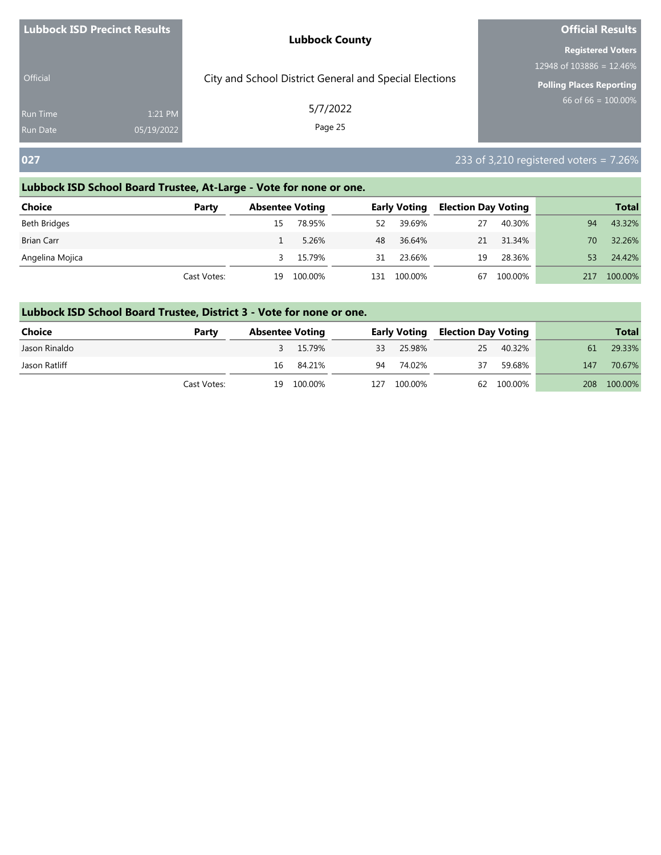|                 | <b>Lubbock ISD Precinct Results</b> | <b>Lubbock County</b>                                  | <b>Official Results</b>         |
|-----------------|-------------------------------------|--------------------------------------------------------|---------------------------------|
|                 |                                     |                                                        | <b>Registered Voters</b>        |
|                 |                                     |                                                        | 12948 of 103886 = 12.46%        |
| <b>Official</b> |                                     | City and School District General and Special Elections | <b>Polling Places Reporting</b> |
| <b>Run Time</b> | 1:21 PM                             | 5/7/2022                                               | 66 of $66 = 100.00\%$           |
| <b>Run Date</b> | 05/19/2022                          | Page 25                                                |                                 |

## **027** 233 of 3,210 registered voters = 7.26%

### **Lubbock ISD School Board Trustee, At-Large - Vote for none or one.**

| <b>Choice</b>     | Party       | <b>Absentee Voting</b> |         |     | <b>Early Voting</b> | <b>Election Day Voting</b> |         |     | <b>Total</b> |
|-------------------|-------------|------------------------|---------|-----|---------------------|----------------------------|---------|-----|--------------|
| Beth Bridges      |             | 15                     | 78.95%  | 52  | 39.69%              | 27                         | 40.30%  | 94  | 43.32%       |
| <b>Brian Carr</b> |             |                        | 5.26%   | 48  | 36.64%              | 21                         | 31.34%  | 70  | 32.26%       |
| Angelina Mojica   |             |                        | 15.79%  | 31  | 23.66%              | 19                         | 28.36%  | 53  | 24.42%       |
|                   | Cast Votes: | 19                     | 100.00% | 131 | 100.00%             | 67                         | 100.00% | 217 | 100.00%      |

| <b>Choice</b> | Party       | <b>Absentee Voting</b> |            |             | <b>Early Voting Election Day Voting</b> |            |     | <b>Total</b> |
|---------------|-------------|------------------------|------------|-------------|-----------------------------------------|------------|-----|--------------|
| Jason Rinaldo |             |                        | 3 15.79%   | 33 25.98%   |                                         | 25 40.32%  | -61 | 29.33%       |
| Jason Ratliff |             |                        | 16 84.21%  | 94 74.02%   | 37                                      | 59.68%     | 147 | 70.67%       |
|               | Cast Votes: |                        | 19 100.00% | 127 100.00% |                                         | 62 100.00% | 208 | 100.00%      |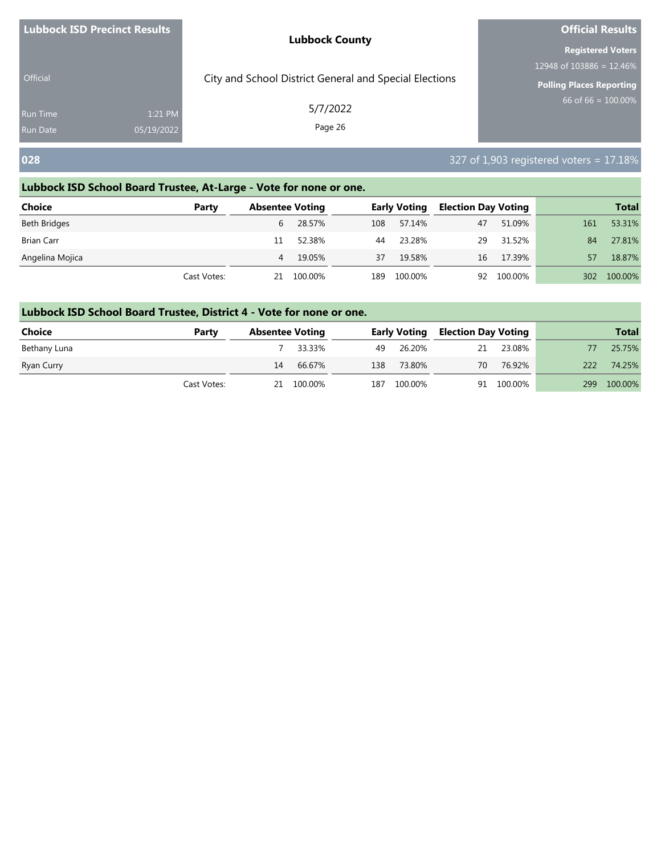| <b>Lubbock ISD Precinct Results</b> |            | <b>Lubbock County</b>                                  | <b>Official Results</b>                              |
|-------------------------------------|------------|--------------------------------------------------------|------------------------------------------------------|
|                                     |            |                                                        | <b>Registered Voters</b><br>12948 of 103886 = 12.46% |
| <b>Official</b>                     |            | City and School District General and Special Elections | <b>Polling Places Reporting</b>                      |
| <b>Run Time</b>                     | 1:21 PM    | 5/7/2022                                               | 66 of $66 = 100.00\%$                                |
| <b>Run Date</b>                     | 05/19/2022 | Page 26                                                |                                                      |
| 028                                 |            |                                                        | $327$ of 1,903 registered voters = 17.18%            |

| Choice            | Party       | <b>Absentee Voting</b> |         |     | <b>Early Voting</b> | <b>Election Day Voting</b> |            |     | <b>Total</b> |
|-------------------|-------------|------------------------|---------|-----|---------------------|----------------------------|------------|-----|--------------|
| Beth Bridges      |             | 6                      | 28.57%  | 108 | 57.14%              | 47                         | 51.09%     | 161 | 53.31%       |
| <b>Brian Carr</b> |             | 11                     | 52.38%  | 44  | 23.28%              | 29                         | 31.52%     | 84  | 27.81%       |
| Angelina Mojica   |             | 4                      | 19.05%  | 37  | 19.58%              | 16                         | 17.39%     | 57  | 18.87%       |
|                   | Cast Votes: | 21                     | 100.00% | 189 | 100.00%             |                            | 92 100.00% | 302 | 100.00%      |

| <b>Choice</b> | Party       | <b>Absentee Voting</b> |            |     |             | <b>Early Voting Election Day Voting</b> |            |     | <b>Total</b> |
|---------------|-------------|------------------------|------------|-----|-------------|-----------------------------------------|------------|-----|--------------|
| Bethany Luna  |             |                        | 33.33%     |     | 49 26.20%   | 21                                      | 23.08%     |     | 25.75%       |
| Ryan Curry    |             | 14                     | 66.67%     | 138 | 73.80%      | 70                                      | 76.92%     | 222 | 74.25%       |
|               | Cast Votes: |                        | 21 100.00% |     | 187 100.00% |                                         | 91 100.00% | 299 | 100.00%      |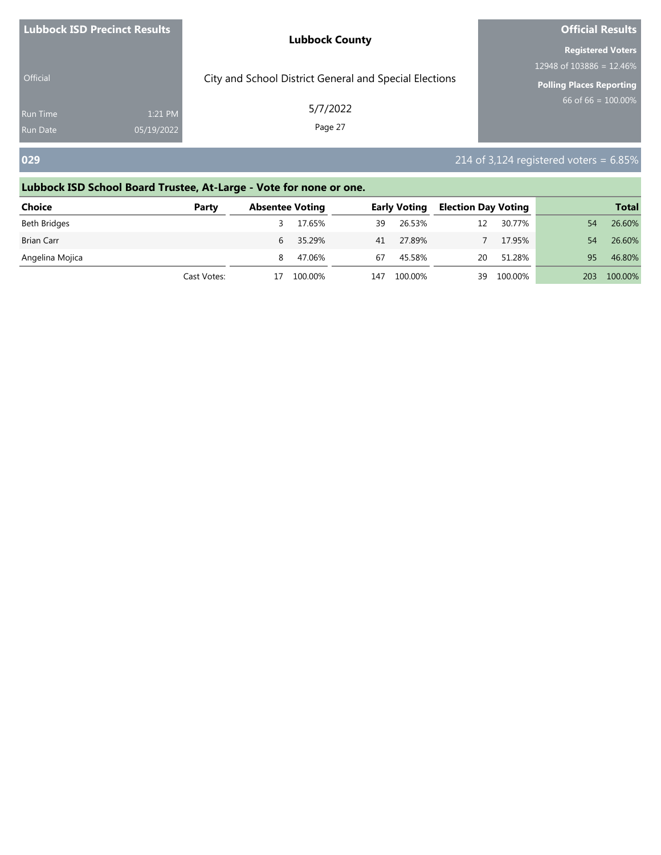| <b>Lubbock ISD Precinct Results</b> |            | <b>Lubbock County</b>                                  | <b>Official Results</b>  |
|-------------------------------------|------------|--------------------------------------------------------|--------------------------|
|                                     |            |                                                        | <b>Registered Voters</b> |
|                                     |            |                                                        | 12948 of 103886 = 12.46% |
| <b>Official</b>                     |            | City and School District General and Special Elections | Polling Places Reporting |
| <b>Run Time</b>                     | 1:21 PM    | 5/7/2022                                               | 66 of 66 = $100.00\%$    |
| <b>Run Date</b>                     | 05/19/2022 | Page 27                                                |                          |
|                                     |            |                                                        |                          |

### **029** 214 of 3,124 registered voters = 6.85%

## **Lubbock ISD School Board Trustee, At-Large - Vote for none or one. Choice Party Absentee Voting Early Voting Election Day Voting Total** Beth Bridges 3 17.65% 39 26.53% 12 30.77% 54 26.60% Brian Carr 6 35.29% 41 27.89% 7 17.95% 54 26.60% Angelina Mojica **8 51.28% 12.06%** 67 45.58% 20 51.28% 95 46.80% Cast Votes: 17 100.00% 147 100.00% 39 100.00% 203 100.00%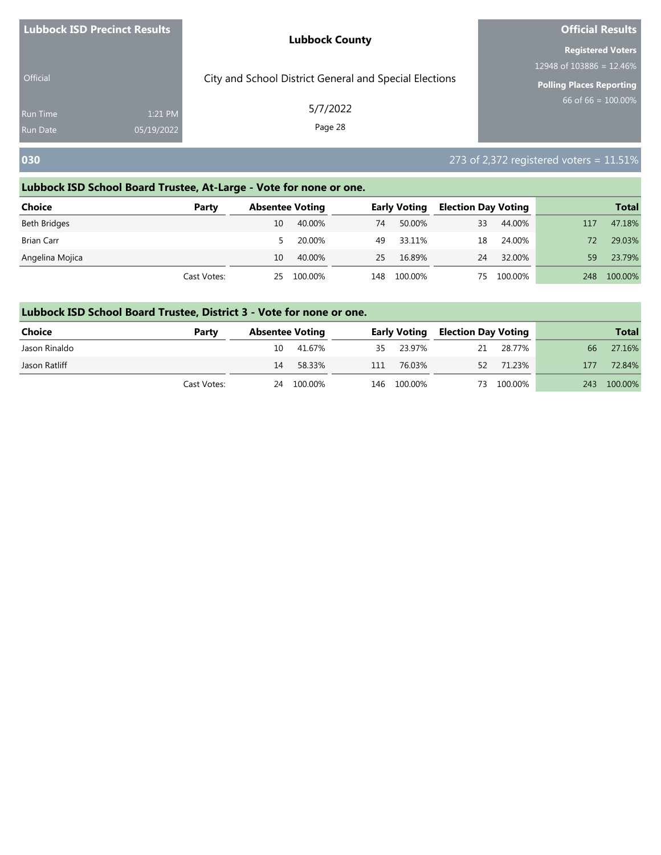| <b>Lubbock ISD Precinct Results</b> |            | <b>Lubbock County</b>                                  | <b>Official Results</b>                                     |
|-------------------------------------|------------|--------------------------------------------------------|-------------------------------------------------------------|
|                                     |            |                                                        | <b>Registered Voters</b>                                    |
| <b>Official</b>                     |            | City and School District General and Special Elections | 12948 of 103886 = 12.46%<br><b>Polling Places Reporting</b> |
| <b>Run Time</b>                     | 1:21 PM    | 5/7/2022                                               | 66 of $66 = 100.00\%$                                       |
| <b>Run Date</b>                     | 05/19/2022 | Page 28                                                |                                                             |
| 030                                 |            |                                                        | 273 of 2,372 registered voters = $11.51\%$                  |

| <b>Choice</b>     | Party       | <b>Absentee Voting</b> |         |     | <b>Early Voting</b> | <b>Election Day Voting</b> |         |     | <b>Total</b> |
|-------------------|-------------|------------------------|---------|-----|---------------------|----------------------------|---------|-----|--------------|
| Beth Bridges      |             | 10                     | 40.00%  | 74  | 50.00%              | 33                         | 44.00%  | 117 | 47.18%       |
| <b>Brian Carr</b> |             |                        | 20.00%  | 49  | 33.11%              | 18                         | 24.00%  | 72  | 29.03%       |
| Angelina Mojica   |             | 10                     | 40.00%  | 25  | 16.89%              | 24                         | 32.00%  | 59  | 23.79%       |
|                   | Cast Votes: | 25                     | 100.00% | 148 | 100.00%             | 75                         | 100.00% | 248 | 100.00%      |

| <b>Choice</b> | Party       | <b>Absentee Voting</b> |            |             | <b>Early Voting Election Day Voting</b> |            |     | <b>Total</b> |
|---------------|-------------|------------------------|------------|-------------|-----------------------------------------|------------|-----|--------------|
| Jason Rinaldo |             | 10-                    | 41.67%     | 35 23.97%   |                                         | 21 28.77%  | 66  | 27.16%       |
| Jason Ratliff |             | 14                     | 58.33%     | 111 76.03%  |                                         | 52 71.23%  | 177 | 72.84%       |
|               | Cast Votes: |                        | 24 100.00% | 146 100.00% |                                         | 73 100.00% |     | 243 100.00%  |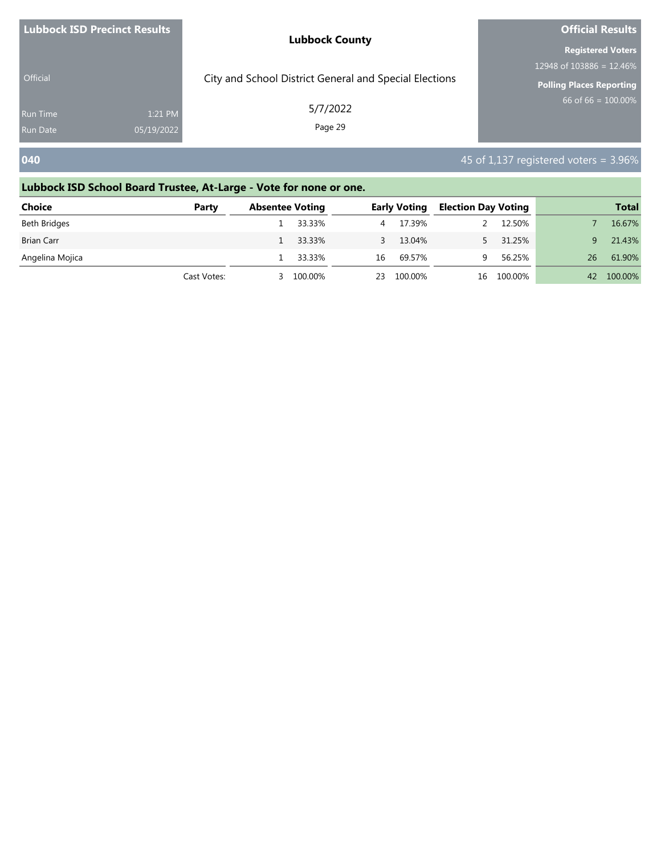| <b>Lubbock ISD Precinct Results</b> |            | <b>Lubbock County</b>                                  | <b>Official Results</b>          |
|-------------------------------------|------------|--------------------------------------------------------|----------------------------------|
|                                     |            |                                                        | <b>Registered Voters</b>         |
|                                     |            |                                                        | 12948 of $103886 = 12.46\%$      |
| <b>Official</b>                     |            | City and School District General and Special Elections | <b>Polling Places Reporting</b>  |
| <b>Run Time</b>                     | 1:21 PM    | 5/7/2022                                               | 66 of 66 = $\overline{100.00\%}$ |
| <b>Run Date</b>                     | 05/19/2022 | Page 29                                                |                                  |
|                                     |            |                                                        |                                  |

Cast Votes: 3 100.00% 23 100.00% 16 100.00% 42 100.00%

**040** 45 of 1,137 registered voters = 3.96%

## **Lubbock ISD School Board Trustee, At-Large - Vote for none or one. Choice Party Absentee Voting Early Voting Election Day Voting Total** Beth Bridges 1 33.33% 4 17.39% 2 12.50% 7 16.67% Brian Carr 1 33.33% 3 13.04% 5 31.25% 9 21.43% Angelina Mojica **1 33.33%** 16 69.57% 9 56.25% 26 61.90%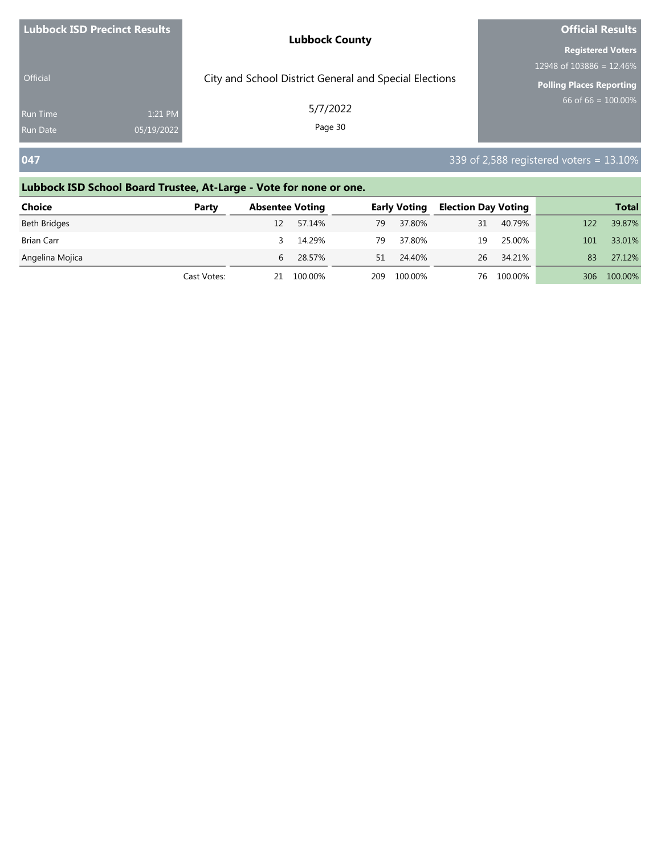| <b>Lubbock County</b>                                                                                        | <b>Official Results</b>  |
|--------------------------------------------------------------------------------------------------------------|--------------------------|
|                                                                                                              | <b>Registered Voters</b> |
| 12948 of 103886 = 12.46%                                                                                     |                          |
| City and School District General and Special Elections<br><b>Official</b><br><b>Polling Places Reporting</b> |                          |
| 5/7/2022<br>1:21 PM<br><b>Run Time</b>                                                                       | 66 of 66 = $100.00\%$    |
| Page 30<br><b>Run Date</b><br>05/19/2022                                                                     |                          |

### **047 1047 2020 2,588 registered voters = 13.10%**

## **Lubbock ISD School Board Trustee, At-Large - Vote for none or one. Choice Party Absentee Voting Early Voting Election Day Voting Total** Beth Bridges 12 57.14% 79 37.80% 31 40.79% 122 39.87% Brian Carr 3 14.29% 79 37.80% 19 25.00% 101 33.01% Angelina Mojica **6 28.57% 51 24.40%** 26 34.21% 83 27.12% Cast Votes: 21 100.00% 209 100.00% 76 100.00% 306 100.00%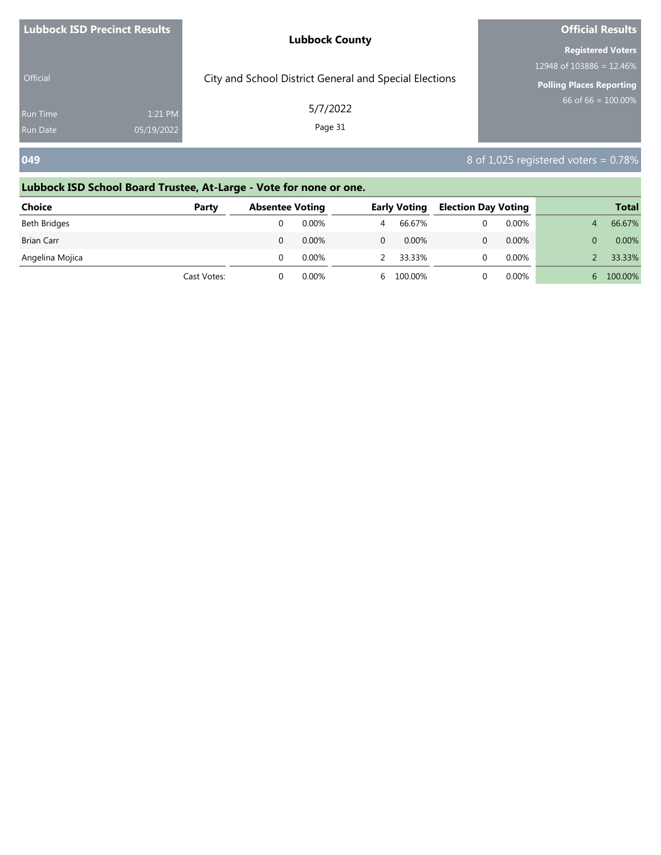| <b>Lubbock ISD Precinct Results</b> |            | <b>Lubbock County</b>                                  | <b>Official Results</b>  |
|-------------------------------------|------------|--------------------------------------------------------|--------------------------|
|                                     |            |                                                        | <b>Registered Voters</b> |
|                                     |            |                                                        | 12948 of 103886 = 12.46% |
| <b>Official</b>                     |            | City and School District General and Special Elections | Polling Places Reporting |
| <b>Run Time</b>                     | 1:21 PM    | 5/7/2022                                               | 66 of 66 = $100.00\%$    |
| <b>Run Date</b>                     | 05/19/2022 | Page 31                                                |                          |
|                                     |            |                                                        |                          |

### **049** 8 of 1,025 registered voters = 0.78%

## **Lubbock ISD School Board Trustee, At-Large - Vote for none or one. Choice Party Absentee Voting Early Voting Election Day Voting Total** Beth Bridges 0 0.00% 4 66.67% 0 0.00% 4 66.67% Brian Carr 0 0.00% 0 0.00% 0 0.00% 0 0.00% Angelina Mojica **2 2 33.33% 0 0.00% 2 33.33% 0 0.00%** 2 33.33% 0 0.00% 2 33.33% Cast Votes: 0 0.00% 6 100.00% 0 0.00% 6 100.00%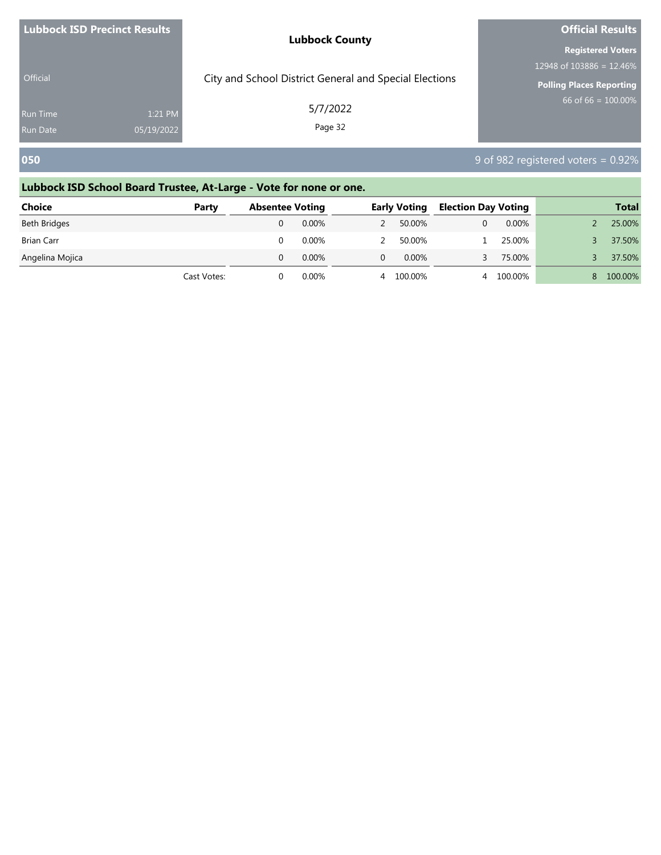| <b>Lubbock ISD Precinct Results</b> |            | <b>Lubbock County</b>                                  | <b>Official Results</b>  |  |  |
|-------------------------------------|------------|--------------------------------------------------------|--------------------------|--|--|
|                                     |            |                                                        | <b>Registered Voters</b> |  |  |
|                                     |            |                                                        | 12948 of 103886 = 12.46% |  |  |
| <b>Official</b>                     |            | City and School District General and Special Elections | Polling Places Reporting |  |  |
| <b>Run Time</b>                     | 1:21 PM    | 5/7/2022                                               | 66 of 66 = $100.00\%$    |  |  |
| Run Date                            | 05/19/2022 | Page 32                                                |                          |  |  |
|                                     |            |                                                        |                          |  |  |

**050** 9 of 982 registered voters = 0.92%

| <b>Choice</b>     | Party       | <b>Absentee Voting</b> |          | <b>Early Voting</b> | <b>Election Day Voting</b> |          |   | <b>Total</b> |
|-------------------|-------------|------------------------|----------|---------------------|----------------------------|----------|---|--------------|
| Beth Bridges      |             |                        | 0.00%    | 50.00%              |                            | $0.00\%$ |   | 25.00%       |
| <b>Brian Carr</b> |             |                        | $0.00\%$ | 50.00%              |                            | 25.00%   |   | 37.50%       |
| Angelina Mojica   |             |                        | $0.00\%$ | $0.00\%$            |                            | 75.00%   |   | 37.50%       |
|                   | Cast Votes: |                        | 0.00%    | 4 100.00%           | Δ.                         | 100.00%  | 8 | 100.00%      |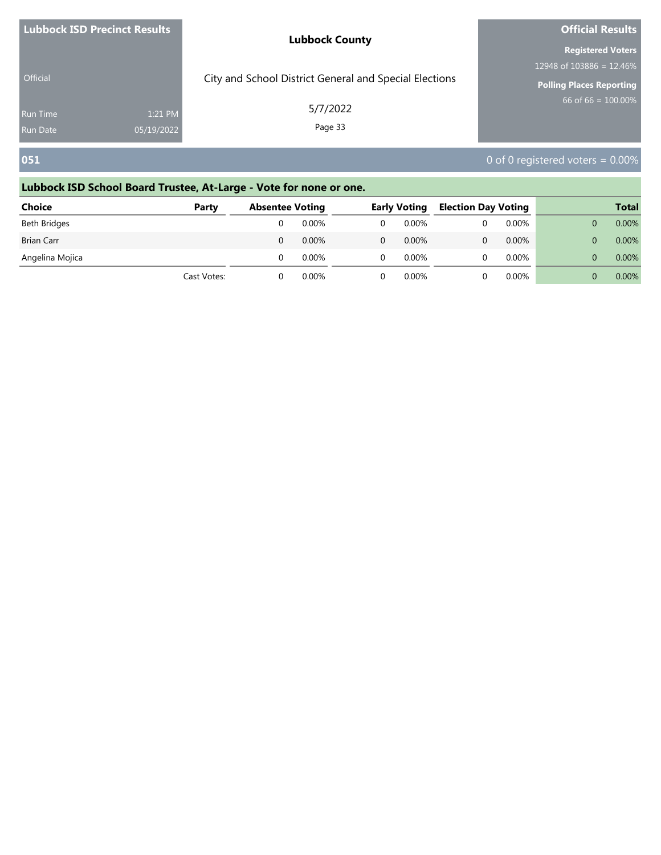| <b>Lubbock ISD Precinct Results</b> |            | <b>Lubbock County</b>                                  | <b>Official Results</b>     |  |  |
|-------------------------------------|------------|--------------------------------------------------------|-----------------------------|--|--|
|                                     |            |                                                        | <b>Registered Voters</b>    |  |  |
|                                     |            |                                                        | 12948 of $103886 = 12.46\%$ |  |  |
| <b>Official</b>                     |            | City and School District General and Special Elections | Polling Places Reporting    |  |  |
| <b>Run Time</b>                     | 1:21 PM    | 5/7/2022                                               | $66$ of 66 = 100.00%        |  |  |
| <b>Run Date</b>                     | 05/19/2022 | Page 33                                                |                             |  |  |
|                                     |            |                                                        |                             |  |  |

**051** 0 of 0 registered voters = 0.00%

| Choice          | Party       | <b>Absentee Voting</b> |       | <b>Early Voting</b> | <b>Election Day Voting</b> |       | <b>Total</b> |
|-----------------|-------------|------------------------|-------|---------------------|----------------------------|-------|--------------|
| Beth Bridges    |             |                        | 0.00% | 0.00%               |                            | 0.00% | 0.00%        |
| Brian Carr      |             |                        | 0.00% | 0.00%               |                            | 0.00% | 0.00%        |
| Angelina Mojica |             |                        | 0.00% | $0.00\%$            |                            | 0.00% | 0.00%        |
|                 | Cast Votes: |                        | 0.00% | 0.00%               |                            | 0.00% | 0.00%        |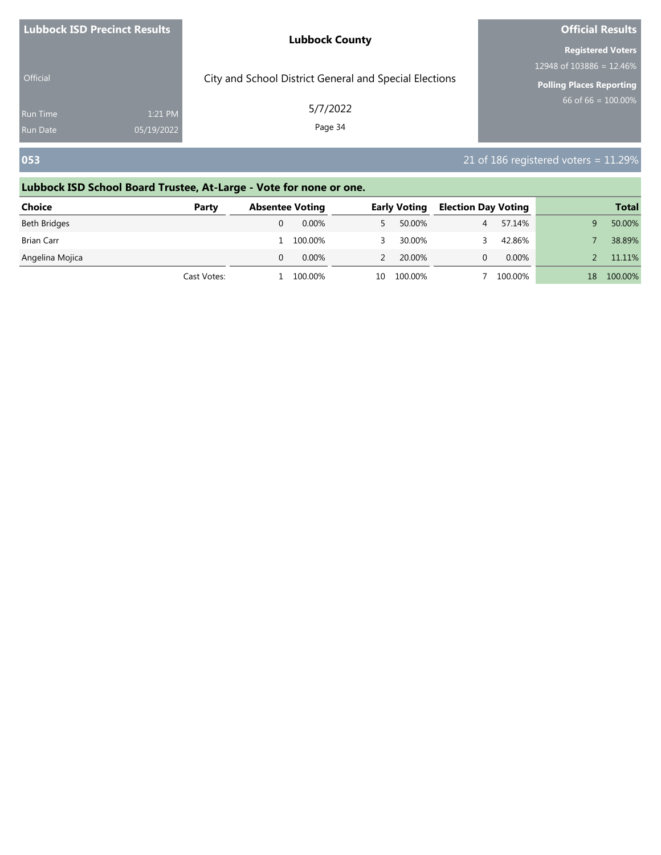| <b>Lubbock ISD Precinct Results</b> |                       | <b>Lubbock County</b>                                  | <b>Official Results</b>         |  |  |
|-------------------------------------|-----------------------|--------------------------------------------------------|---------------------------------|--|--|
|                                     |                       |                                                        | <b>Registered Voters</b>        |  |  |
|                                     |                       |                                                        | 12948 of 103886 = 12.46%        |  |  |
| <b>Official</b>                     |                       | City and School District General and Special Elections | <b>Polling Places Reporting</b> |  |  |
| <b>Run Time</b><br><b>Run Date</b>  | 1:21 PM<br>05/19/2022 | 5/7/2022<br>Page 34                                    | 66 of 66 = $100.00\%$           |  |  |
|                                     |                       |                                                        |                                 |  |  |

**053** 21 of 186 registered voters = 11.29%

| <b>Choice</b>     | Party       | <b>Absentee Voting</b> | <b>Early Voting</b> | <b>Election Day Voting</b> |          |    | <b>Total</b> |
|-------------------|-------------|------------------------|---------------------|----------------------------|----------|----|--------------|
| Beth Bridges      |             | 0.00%                  | 50.00%              |                            | 57.14%   |    | 50.00%       |
| <b>Brian Carr</b> |             | . 100.00%              | 30.00%              |                            | 42.86%   |    | 38.89%       |
| Angelina Mojica   |             | $0.00\%$               | 20.00%              |                            | $0.00\%$ |    | 11.11%       |
|                   | Cast Votes: | 100.00%                | 10 100.00%          |                            | 100.00%  | 18 | 100.00%      |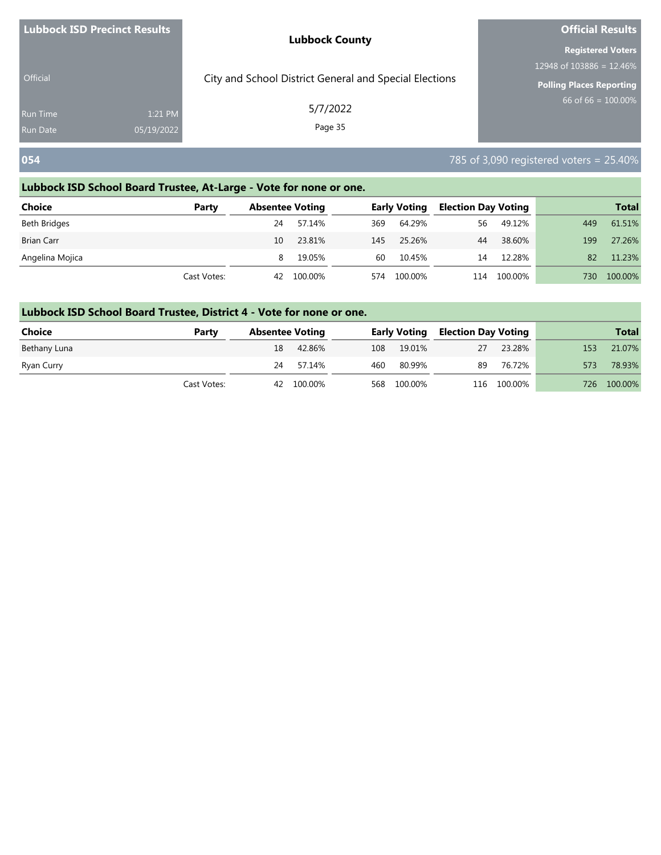|                 | <b>Lubbock ISD Precinct Results</b> | <b>Lubbock County</b>                                  | <b>Official Results</b>         |  |  |
|-----------------|-------------------------------------|--------------------------------------------------------|---------------------------------|--|--|
|                 |                                     |                                                        | <b>Registered Voters</b>        |  |  |
|                 |                                     |                                                        | 12948 of $103886 = 12.46\%$     |  |  |
| <b>Official</b> |                                     | City and School District General and Special Elections | <b>Polling Places Reporting</b> |  |  |
| <b>Run Time</b> | 1:21 PM                             | 5/7/2022                                               | 66 of $66 = 100.00\%$           |  |  |
| <b>Run Date</b> | 05/19/2022                          | Page 35                                                |                                 |  |  |

## **054** 785 of 3,090 registered voters = 25.40%

### **Lubbock ISD School Board Trustee, At-Large - Vote for none or one.**

| <b>Choice</b>     | Party       |    | <b>Absentee Voting</b> |     | <b>Early Voting</b> | <b>Election Day Voting</b> |         |     | <b>Total</b> |
|-------------------|-------------|----|------------------------|-----|---------------------|----------------------------|---------|-----|--------------|
| Beth Bridges      |             | 24 | 57.14%                 | 369 | 64.29%              | 56                         | 49.12%  | 449 | 61.51%       |
| <b>Brian Carr</b> |             | 10 | 23.81%                 | 145 | 25.26%              | 44                         | 38.60%  | 199 | 27.26%       |
| Angelina Mojica   |             | 8  | 19.05%                 | 60  | 10.45%              | 14                         | 12.28%  | 82  | 11.23%       |
|                   | Cast Votes: | 42 | 100.00%                | 574 | 100.00%             | 114                        | 100.00% | 730 | 100.00%      |

| <b>Choice</b> | Party       | <b>Absentee Voting</b> |            |     | <b>Early Voting</b> | <b>Election Day Voting</b> |             |     | <b>Total</b> |
|---------------|-------------|------------------------|------------|-----|---------------------|----------------------------|-------------|-----|--------------|
| Bethany Luna  |             | 18                     | 42.86%     |     | 108 19.01%          | 27                         | 23.28%      | 153 | 21.07%       |
| Ryan Curry    |             | 24                     | 57.14%     | 460 | 80.99%              | 89                         | 76.72%      | 573 | 78.93%       |
|               | Cast Votes: |                        | 42 100.00% |     | 568 100.00%         |                            | 116 100.00% |     | 726 100.00%  |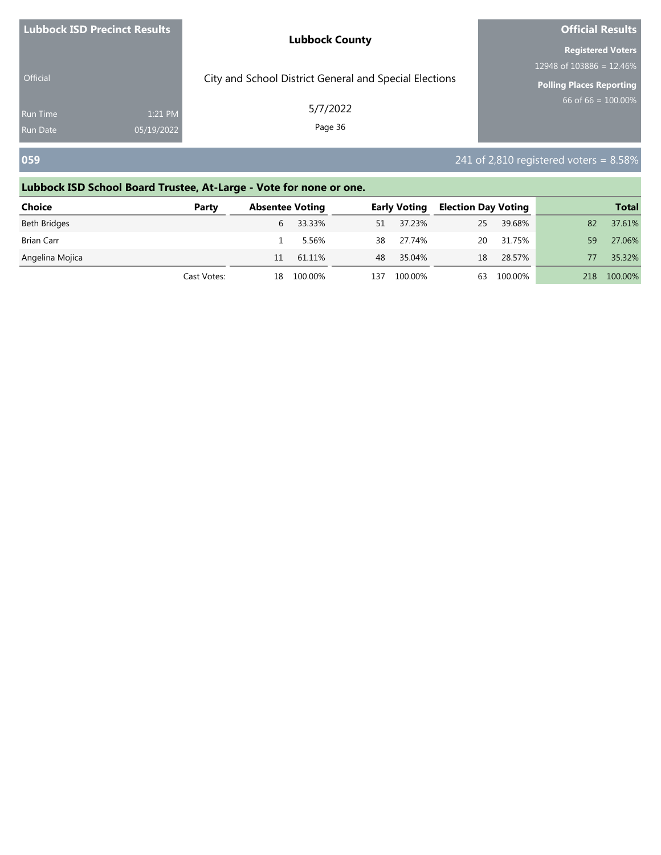| <b>Lubbock ISD Precinct Results</b> |            | <b>Lubbock County</b>                                  | <b>Official Results</b>         |  |  |
|-------------------------------------|------------|--------------------------------------------------------|---------------------------------|--|--|
|                                     |            |                                                        | <b>Registered Voters</b>        |  |  |
|                                     |            |                                                        | 12948 of 103886 = 12.46%        |  |  |
| <b>Official</b>                     |            | City and School District General and Special Elections | <b>Polling Places Reporting</b> |  |  |
| Run Time                            | 1:21 PM    | 5/7/2022                                               | 66 of 66 = $100.00\%$           |  |  |
| <b>Run Date</b>                     | 05/19/2022 | Page 36                                                |                                 |  |  |
|                                     |            |                                                        |                                 |  |  |

### **059** 241 of 2,810 registered voters = 8.58%

## **Lubbock ISD School Board Trustee, At-Large - Vote for none or one. Choice Party Absentee Voting Early Voting Election Day Voting Total** Beth Bridges 6 33.33% 51 37.23% 25 39.68% 82 37.61% Brian Carr 1 5.56% 38 27.74% 20 31.75% 59 27.06% Angelina Mojica **11 51.11% 18 28.57%** 18 28.57% 18 29.57% 18 28.57% 18 28.57% 18 28.57% 18 28.57% 18 28.57% 18 2 Cast Votes: 18 100.00% 137 100.00% 63 100.00% 218 100.00%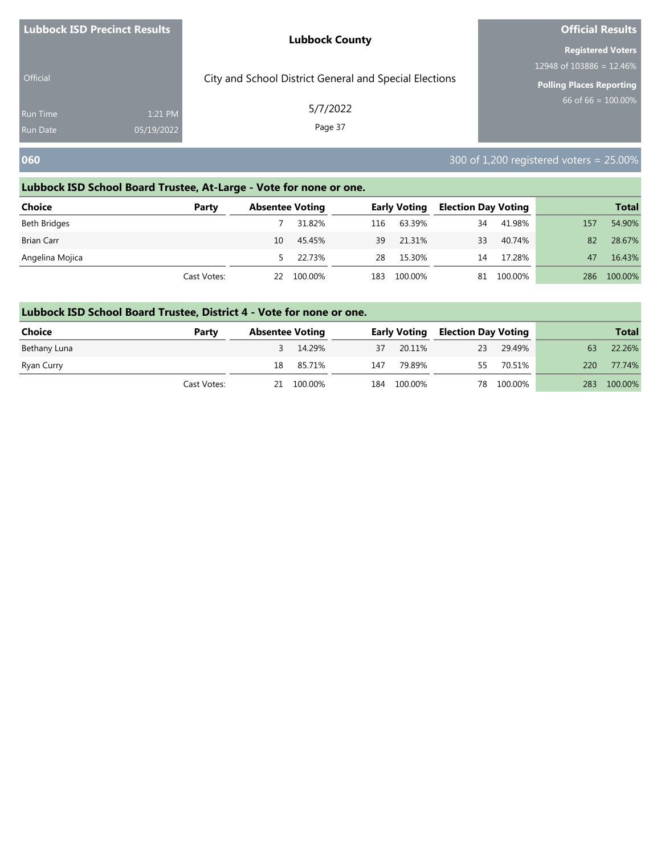| <b>Lubbock ISD Precinct Results</b> |                       | <b>Lubbock County</b>                                  | <b>Official Results</b>                                  |  |  |
|-------------------------------------|-----------------------|--------------------------------------------------------|----------------------------------------------------------|--|--|
| <b>Official</b>                     |                       | City and School District General and Special Elections | <b>Registered Voters</b><br>12948 of 103886 = 12.46%     |  |  |
| <b>Run Time</b><br><b>Run Date</b>  | 1:21 PM<br>05/19/2022 | 5/7/2022<br>Page 37                                    | <b>Polling Places Reporting</b><br>66 of $66 = 100.00\%$ |  |  |
| 060                                 |                       |                                                        | 300 of 1,200 registered voters = 25.00%                  |  |  |

| <b>Choice</b>     | Party       | <b>Absentee Voting</b> |         |     | <b>Early Voting</b> | <b>Election Day Voting</b> |         |     | <b>Total</b> |
|-------------------|-------------|------------------------|---------|-----|---------------------|----------------------------|---------|-----|--------------|
| Beth Bridges      |             |                        | 31.82%  | 116 | 63.39%              | 34                         | 41.98%  | 157 | 54.90%       |
| <b>Brian Carr</b> |             | 10                     | 45.45%  | 39  | 21.31%              | 33                         | 40.74%  | 82  | 28.67%       |
| Angelina Mojica   |             |                        | 22.73%  | 28  | 15.30%              | 14                         | 17.28%  | 47  | 16.43%       |
|                   | Cast Votes: | 22                     | 100.00% | 183 | 100.00%             | 81                         | 100.00% | 286 | 100.00%      |

| <b>Choice</b> | Party       | <b>Absentee Voting</b> |            |     |             | <b>Early Voting Election Day Voting</b> |            |     | <b>Total</b> |
|---------------|-------------|------------------------|------------|-----|-------------|-----------------------------------------|------------|-----|--------------|
| Bethany Luna  |             |                        | 3 14.29%   |     | 37 20.11%   | 23                                      | 29.49%     | 63  | 22.26%       |
| Ryan Curry    |             |                        | 18 85.71%  | 147 | 79.89%      |                                         | 55 70.51%  | 220 | 77.74%       |
|               | Cast Votes: |                        | 21 100.00% |     | 184 100.00% |                                         | 78 100.00% | 283 | 100.00%      |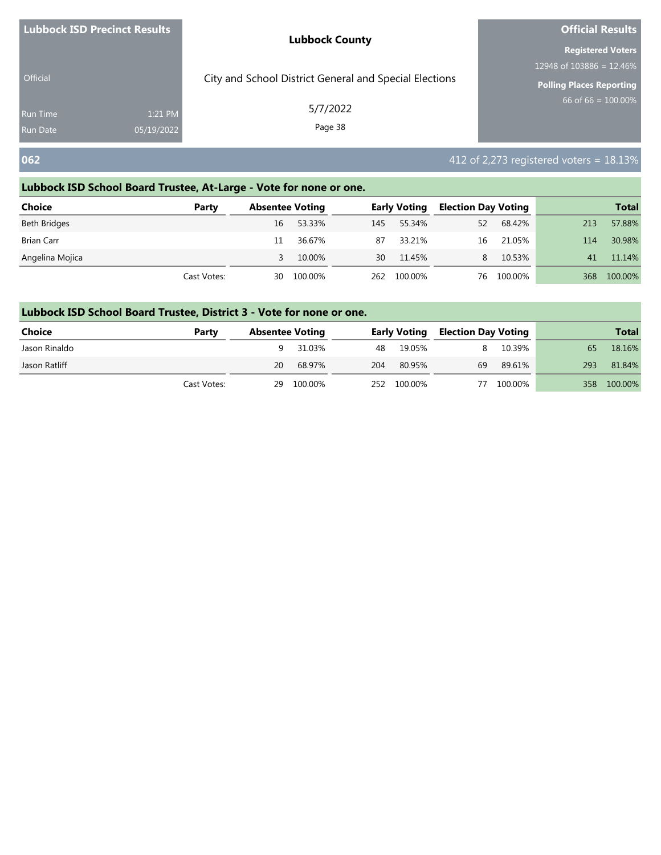| <b>Lubbock ISD Precinct Results</b> |            | <b>Lubbock County</b>                                  | <b>Official Results</b>                              |
|-------------------------------------|------------|--------------------------------------------------------|------------------------------------------------------|
|                                     |            |                                                        | <b>Registered Voters</b><br>12948 of 103886 = 12.46% |
| <b>Official</b>                     |            | City and School District General and Special Elections | <b>Polling Places Reporting</b>                      |
| <b>Run Time</b>                     | 1:21 PM    | 5/7/2022                                               | 66 of $66 = 100.00\%$                                |
| <b>Run Date</b>                     | 05/19/2022 | Page 38                                                |                                                      |
| 062                                 |            |                                                        | $1412$ of 2,273 registered voters = 18.13%           |

| <b>Choice</b>     | Party       | <b>Absentee Voting</b> |         |     | <b>Early Voting</b> | <b>Election Day Voting</b> |            |     | <b>Total</b> |
|-------------------|-------------|------------------------|---------|-----|---------------------|----------------------------|------------|-----|--------------|
| Beth Bridges      |             | 16                     | 53.33%  | 145 | 55.34%              | 52                         | 68.42%     | 213 | 57.88%       |
| <b>Brian Carr</b> |             |                        | 36.67%  | 87  | 33.21%              | 16                         | 21.05%     | 114 | 30.98%       |
| Angelina Mojica   |             |                        | 10.00%  | 30  | 11.45%              | 8.                         | 10.53%     | 41  | 11.14%       |
|                   | Cast Votes: | 30                     | 100.00% |     | 262 100.00%         |                            | 76 100.00% | 368 | 100.00%      |

| <b>Choice</b> | Party       | <b>Absentee Voting</b> |            |     |             | <b>Early Voting Election Day Voting</b> |            |     | <b>Total</b> |
|---------------|-------------|------------------------|------------|-----|-------------|-----------------------------------------|------------|-----|--------------|
| Jason Rinaldo |             |                        | 9 31.03%   |     | 48 19.05%   | 8                                       | 10.39%     | 65  | 18.16%       |
| Jason Ratliff |             | 20                     | 68.97%     | 204 | 80.95%      | 69                                      | 89.61%     | 293 | 81.84%       |
|               | Cast Votes: |                        | 29 100.00% |     | 252 100.00% |                                         | 77 100.00% |     | 358 100.00%  |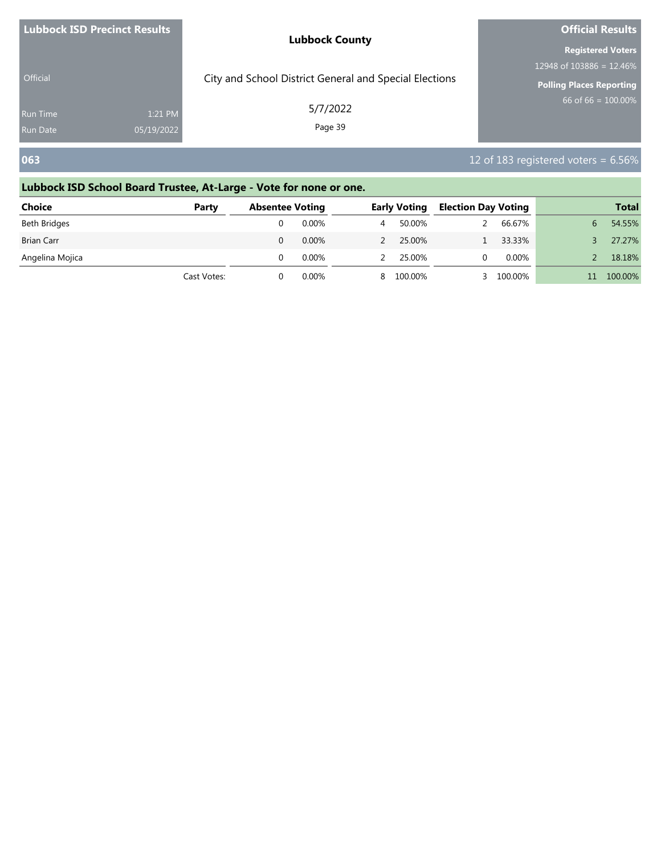| <b>Lubbock ISD Precinct Results</b> | <b>Lubbock County</b>                                  | <b>Official Results</b>  |
|-------------------------------------|--------------------------------------------------------|--------------------------|
|                                     |                                                        | <b>Registered Voters</b> |
|                                     |                                                        | 12948 of 103886 = 12.46% |
| <b>Official</b>                     | City and School District General and Special Elections | Polling Places Reporting |
| <b>Run Time</b>                     | 5/7/2022<br>1:21 PM                                    | 66 of 66 = $100.00\%$    |
| 05/19/2022<br><b>Run Date</b>       | Page 39                                                |                          |

### **063** 12 of 183 registered voters = 6.56%

## **Lubbock ISD School Board Trustee, At-Large - Vote for none or one. Choice Party Absentee Voting Early Voting Election Day Voting Total** Beth Bridges 0 0.00% 4 50.00% 2 66.67% 6 54.55% Brian Carr 0 0.00% 2 25.00% 1 33.33% 3 27.27% Angelina Mojica **2 25.00% 2 25.00% 2 25.00%** 0 0.00% 2 25.00% 2 18.18% Cast Votes: 0 0.00% 8 100.00% 3 100.00% 11 100.00%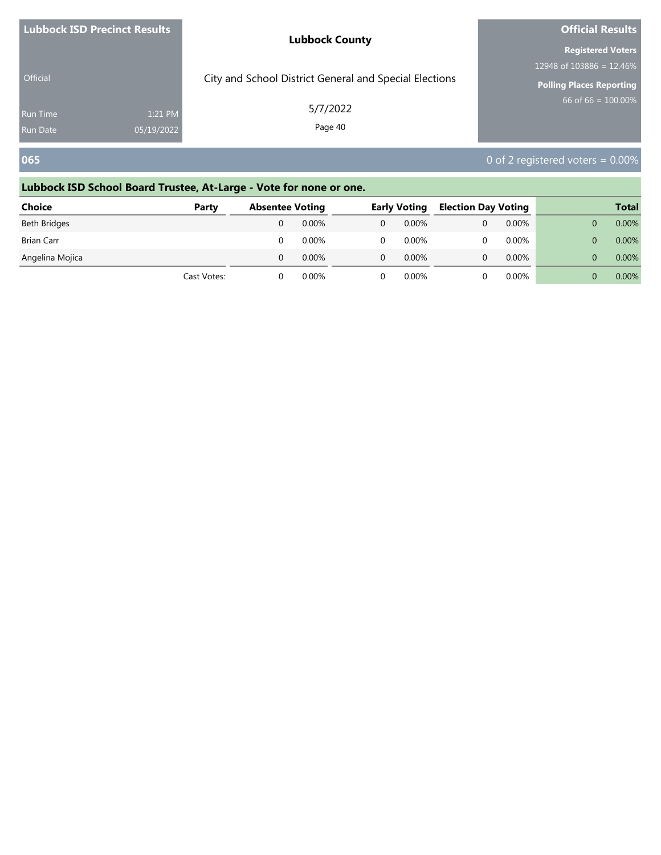| <b>Lubbock ISD Precinct Results</b> |            | <b>Lubbock County</b>                                  | <b>Official Results</b>                              |
|-------------------------------------|------------|--------------------------------------------------------|------------------------------------------------------|
|                                     |            |                                                        | <b>Registered Voters</b><br>12948 of 103886 = 12.46% |
| Official                            |            | City and School District General and Special Elections | <b>Polling Places Reporting</b>                      |
| <b>Run Time</b>                     | 1:21 PM    | 5/7/2022                                               | 66 of $66 = 100.00\%$                                |
| <b>Run Date</b>                     | 05/19/2022 | Page 40                                                |                                                      |
| 065                                 |            |                                                        | 0 of 2 registered voters = $0.00\%$                  |

| Choice            | Party       | <b>Absentee Voting</b> |       | <b>Early Voting</b> | <b>Election Day Voting</b> |          | <b>Total</b> |
|-------------------|-------------|------------------------|-------|---------------------|----------------------------|----------|--------------|
| Beth Bridges      |             |                        | 0.00% | $0.00\%$            |                            | $0.00\%$ | 0.00%        |
| <b>Brian Carr</b> |             |                        | 0.00% | $0.00\%$            |                            | $0.00\%$ | 0.00%        |
| Angelina Mojica   |             |                        | 0.00% | $0.00\%$            |                            | 0.00%    | 0.00%        |
|                   | Cast Votes: |                        | 0.00% | 0.00%               |                            | $0.00\%$ | 0.00%        |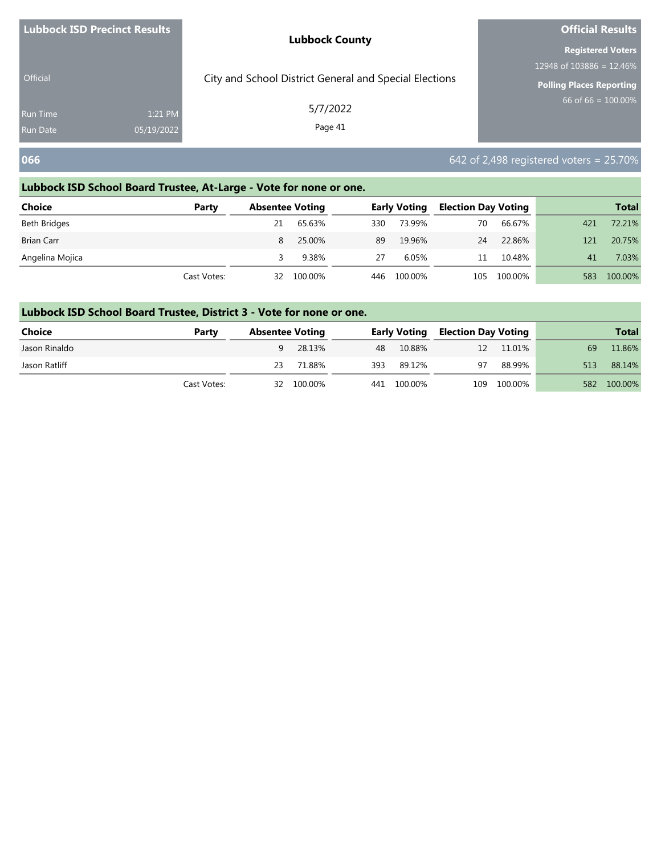| <b>Lubbock ISD Precinct Results</b> |            | <b>Lubbock County</b>                                  | <b>Official Results</b>                              |  |  |
|-------------------------------------|------------|--------------------------------------------------------|------------------------------------------------------|--|--|
|                                     |            |                                                        | <b>Registered Voters</b><br>12948 of 103886 = 12.46% |  |  |
| <b>Official</b>                     |            | City and School District General and Special Elections | <b>Polling Places Reporting</b>                      |  |  |
| <b>Run Time</b>                     | 1:21 PM    | 5/7/2022<br>Page 41                                    | 66 of $66 = 100.00\%$                                |  |  |
| <b>Run Date</b>                     | 05/19/2022 |                                                        |                                                      |  |  |
| 066                                 |            |                                                        | $642$ of 2,498 registered voters = 25.70%            |  |  |

| <b>Choice</b>     | Party       |    | <b>Absentee Voting</b> |     | <b>Early Voting</b> | <b>Election Day Voting</b> |         |     | <b>Total</b> |
|-------------------|-------------|----|------------------------|-----|---------------------|----------------------------|---------|-----|--------------|
| Beth Bridges      |             | 21 | 65.63%                 | 330 | 73.99%              | 70                         | 66.67%  | 421 | 72.21%       |
| <b>Brian Carr</b> |             | 8  | 25.00%                 | 89  | 19.96%              | 24                         | 22.86%  | 121 | 20.75%       |
| Angelina Mojica   |             |    | 9.38%                  | 27  | 6.05%               | 11                         | 10.48%  | 41  | 7.03%        |
|                   | Cast Votes: | 32 | 100.00%                |     | 446 100.00%         | 105                        | 100.00% | 583 | 100.00%      |

| <b>Choice</b> | Party       | <b>Absentee Voting</b> |            |     | <b>Early Voting</b> | <b>Election Day Voting</b> |             |     | <b>Total</b> |
|---------------|-------------|------------------------|------------|-----|---------------------|----------------------------|-------------|-----|--------------|
| Jason Rinaldo |             |                        | 28.13%     |     | 48 10.88%           | 12                         | 11.01%      | 69  | 11.86%       |
| Jason Ratliff |             | 23                     | 71.88%     | 393 | 89.12%              | 97                         | 88.99%      | 513 | 88.14%       |
|               | Cast Votes: |                        | 32 100.00% |     | 441 100.00%         |                            | 109 100.00% | 582 | 100.00%      |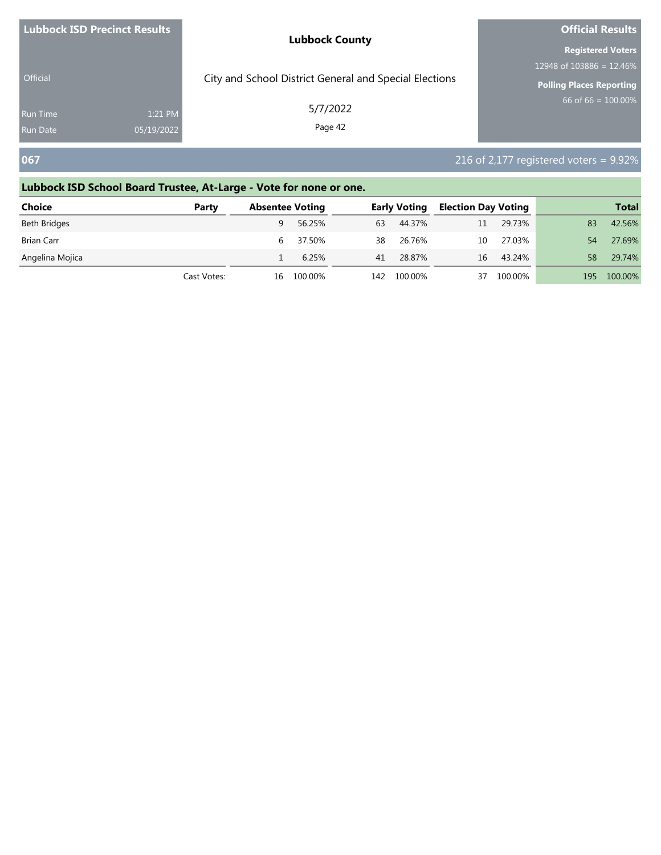| <b>Lubbock ISD Precinct Results</b> |            | <b>Lubbock County</b>                                  | <b>Official Results</b>  |
|-------------------------------------|------------|--------------------------------------------------------|--------------------------|
|                                     |            |                                                        | <b>Registered Voters</b> |
|                                     |            |                                                        | 12948 of 103886 = 12.46% |
| <b>Official</b>                     |            | City and School District General and Special Elections | Polling Places Reporting |
| <b>Run Time</b>                     | 1:21 PM    | 5/7/2022                                               | 66 of 66 = $100.00\%$    |
| <b>Run Date</b>                     | 05/19/2022 | Page 42                                                |                          |
|                                     |            |                                                        |                          |

### **067** 216 of 2,177 registered voters = 9.92%

## **Lubbock ISD School Board Trustee, At-Large - Vote for none or one. Choice Party Absentee Voting Early Voting Election Day Voting Total** Beth Bridges 9 56.25% 63 44.37% 11 29.73% 83 42.56% Brian Carr 6 37.50% 38 26.76% 10 27.03% 54 27.69% Angelina Mojica 1 6.25% 41 28.87% 16 43.24% 58 29.74% Cast Votes: 16 100.00% 142 100.00% 37 100.00% 195 100.00%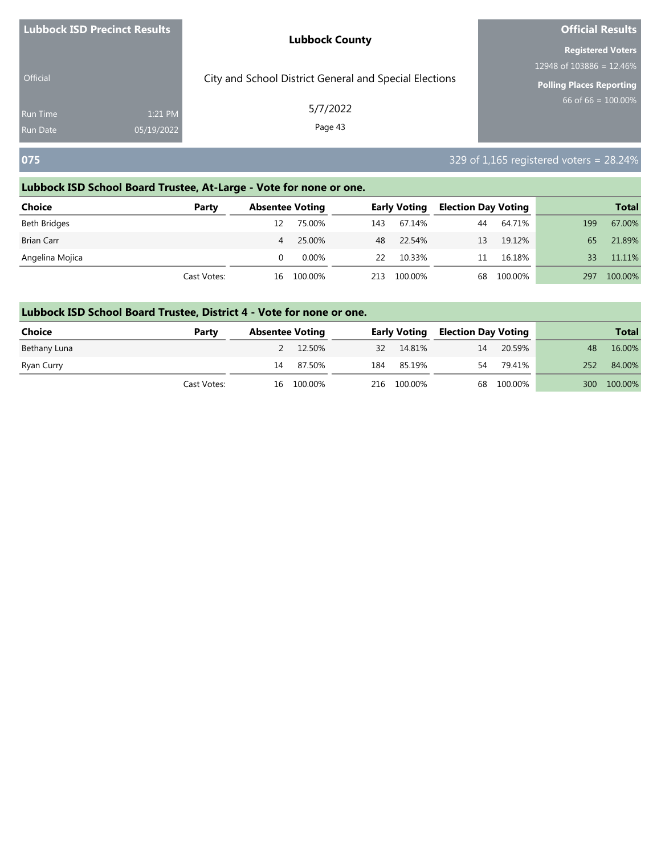| <b>Lubbock ISD Precinct Results</b> |            | <b>Lubbock County</b>                                  | <b>Official Results</b>         |  |
|-------------------------------------|------------|--------------------------------------------------------|---------------------------------|--|
|                                     |            |                                                        | <b>Registered Voters</b>        |  |
|                                     |            |                                                        | 12948 of 103886 = 12.46%        |  |
| <b>Official</b>                     |            | City and School District General and Special Elections | <b>Polling Places Reporting</b> |  |
| <b>Run Time</b>                     | 1:21 PM    | 5/7/2022                                               | 66 of $66 = 100.00\%$           |  |
| <b>Run Date</b>                     | 05/19/2022 | Page 43                                                |                                 |  |
|                                     |            |                                                        |                                 |  |

### **075** 329 of 1,165 registered voters = 28.24%

### **Lubbock ISD School Board Trustee, At-Large - Vote for none or one.**

| <b>Choice</b>     | Party       | <b>Absentee Voting</b> |          |     | <b>Early Voting</b> | <b>Election Day Voting</b> |         |     | <b>Total</b> |
|-------------------|-------------|------------------------|----------|-----|---------------------|----------------------------|---------|-----|--------------|
| Beth Bridges      |             | 12                     | 75.00%   | 143 | 67.14%              | 44                         | 64.71%  | 199 | 67.00%       |
| <b>Brian Carr</b> |             | 4                      | 25.00%   | 48  | 22.54%              | 13                         | 19.12%  | 65  | 21.89%       |
| Angelina Mojica   |             |                        | $0.00\%$ | 22  | 10.33%              | 11                         | 16.18%  | 33  | 11.11%       |
|                   | Cast Votes: | 16                     | 100.00%  | 213 | 100.00%             | 68                         | 100.00% | 297 | 100.00%      |

| <b>Choice</b> | Party       | <b>Absentee Voting</b> |            |     |             | <b>Early Voting Election Day Voting</b> |            |     | <b>Total</b> |
|---------------|-------------|------------------------|------------|-----|-------------|-----------------------------------------|------------|-----|--------------|
| Bethany Luna  |             |                        | 2 12.50%   |     | 32 14.81%   | 14                                      | 20.59%     | 48  | 16.00%       |
| Ryan Curry    |             | 14                     | 87.50%     | 184 | 85.19%      |                                         | 54 79.41%  | 252 | 84.00%       |
|               | Cast Votes: |                        | 16 100.00% |     | 216 100.00% |                                         | 68 100.00% | 300 | 100.00%      |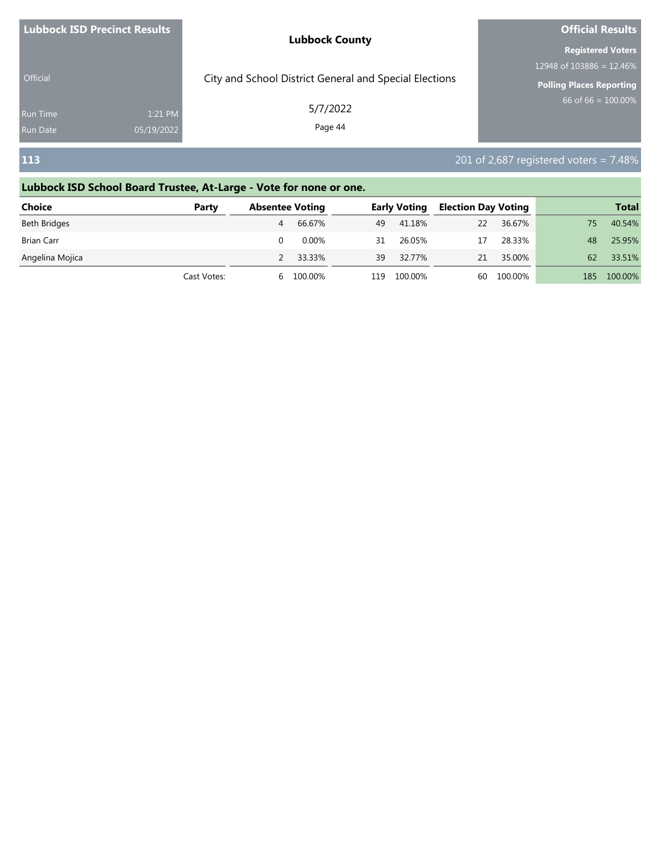| City and School District General and Special Elections<br><b>Official</b><br>5/7/2022<br>1:21 PM<br><b>Run Time</b><br>Page 44<br><b>Run Date</b><br>05/19/2022 | <b>Lubbock ISD Precinct Results</b> | <b>Lubbock County</b> | <b>Official Results</b>  |  |  |
|-----------------------------------------------------------------------------------------------------------------------------------------------------------------|-------------------------------------|-----------------------|--------------------------|--|--|
|                                                                                                                                                                 |                                     |                       | <b>Registered Voters</b> |  |  |
|                                                                                                                                                                 |                                     |                       | 12948 of 103886 = 12.46% |  |  |
|                                                                                                                                                                 |                                     |                       | Polling Places Reporting |  |  |
|                                                                                                                                                                 |                                     |                       | 66 of 66 = $100.00\%$    |  |  |
|                                                                                                                                                                 |                                     |                       |                          |  |  |

### **113** 201 of 2,687 registered voters = 7.48%

## **Lubbock ISD School Board Trustee, At-Large - Vote for none or one. Choice Party Absentee Voting Early Voting Election Day Voting Total** Beth Bridges 4 66.67% 49 41.18% 22 36.67% 75 40.54% Brian Carr 0 0.00% 31 26.05% 17 28.33% 48 25.95% Angelina Mojica **2 33.33%** 39 32.77% 21 35.00% 62 33.51% Cast Votes: 6 100.00% 119 100.00% 60 100.00% 185 100.00%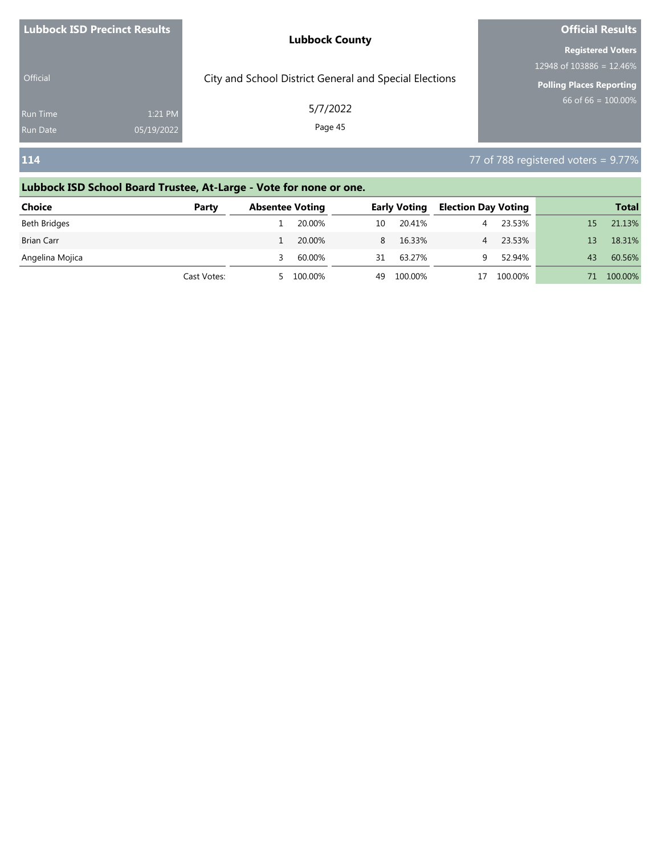|                 | <b>Lubbock ISD Precinct Results</b> | <b>Lubbock County</b>                                  | <b>Official Results</b>         |  |  |
|-----------------|-------------------------------------|--------------------------------------------------------|---------------------------------|--|--|
|                 |                                     |                                                        | <b>Registered Voters</b>        |  |  |
|                 |                                     |                                                        | 12948 of 103886 = 12.46%        |  |  |
| <b>Official</b> |                                     | City and School District General and Special Elections | <b>Polling Places Reporting</b> |  |  |
| <b>Run Time</b> | 1:21 PM                             | 5/7/2022                                               | $66$ of 66 = 100.00%            |  |  |
| <b>Run Date</b> | 05/19/2022                          | Page 45                                                |                                 |  |  |
|                 |                                     |                                                        |                                 |  |  |

**114** 77 of 788 registered voters = 9.77%

| <b>Choice</b>     | Party       | <b>Absentee Voting</b> |           |    | <b>Early Voting</b> |    | <b>Election Day Voting</b> |     | <b>Total</b> |
|-------------------|-------------|------------------------|-----------|----|---------------------|----|----------------------------|-----|--------------|
| Beth Bridges      |             |                        | 20.00%    | 10 | 20.41%              |    | 23.53%                     | 15. | 21.13%       |
| <b>Brian Carr</b> |             |                        | 20.00%    | 8  | 16.33%              |    | 23.53%                     | 13  | 18.31%       |
| Angelina Mojica   |             |                        | 60.00%    | 31 | 63.27%              |    | 52.94%                     | 43  | 60.56%       |
|                   | Cast Votes: |                        | 5 100.00% |    | 49 100.00%          | 17 | 100.00%                    | 71. | 100.00%      |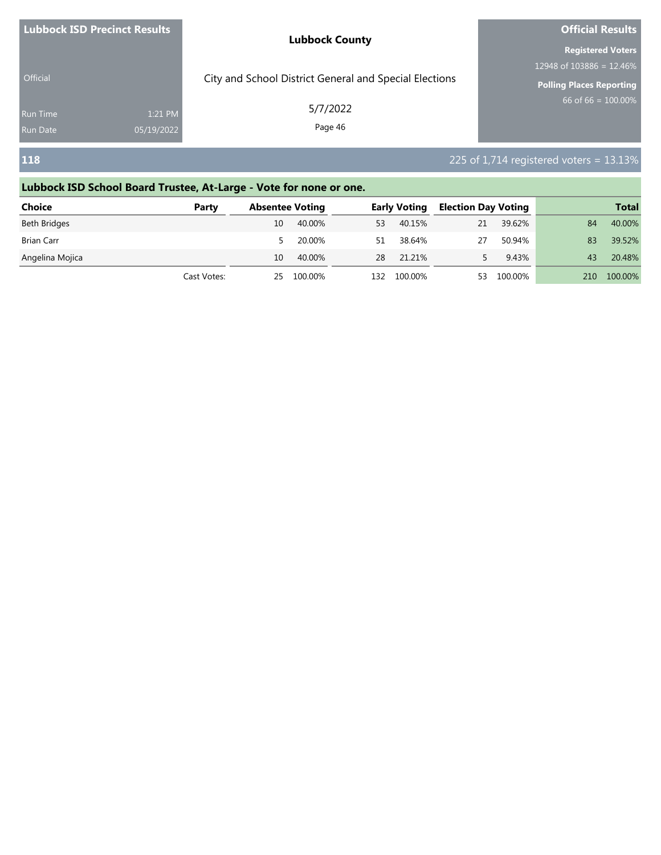|                 | <b>Lubbock ISD Precinct Results</b> | <b>Lubbock County</b>                                  | <b>Official Results</b>         |  |  |
|-----------------|-------------------------------------|--------------------------------------------------------|---------------------------------|--|--|
|                 |                                     |                                                        | <b>Registered Voters</b>        |  |  |
|                 |                                     |                                                        | 12948 of 103886 = 12.46%        |  |  |
| <b>Official</b> |                                     | City and School District General and Special Elections | <b>Polling Places Reporting</b> |  |  |
| Run Time        | 1:21 PM                             | 5/7/2022                                               | 66 of 66 = $100.00\%$           |  |  |
| Run Date        | 05/19/2022                          | Page 46                                                |                                 |  |  |
|                 |                                     |                                                        |                                 |  |  |

### **118** 225 of 1,714 registered voters = 13.13%

## **Lubbock ISD School Board Trustee, At-Large - Vote for none or one. Choice Party Absentee Voting Early Voting Election Day Voting Total** Beth Bridges 10 40.00% 53 40.15% 21 39.62% 84 40.00% Brian Carr 5 20.00% 51 38.64% 27 50.94% 83 39.52% Angelina Mojica **10 10.00%** 28 21.21% 5 9.43% 43 20.48% Cast Votes: 25 100.00% 132 100.00% 53 100.00% 210 100.00%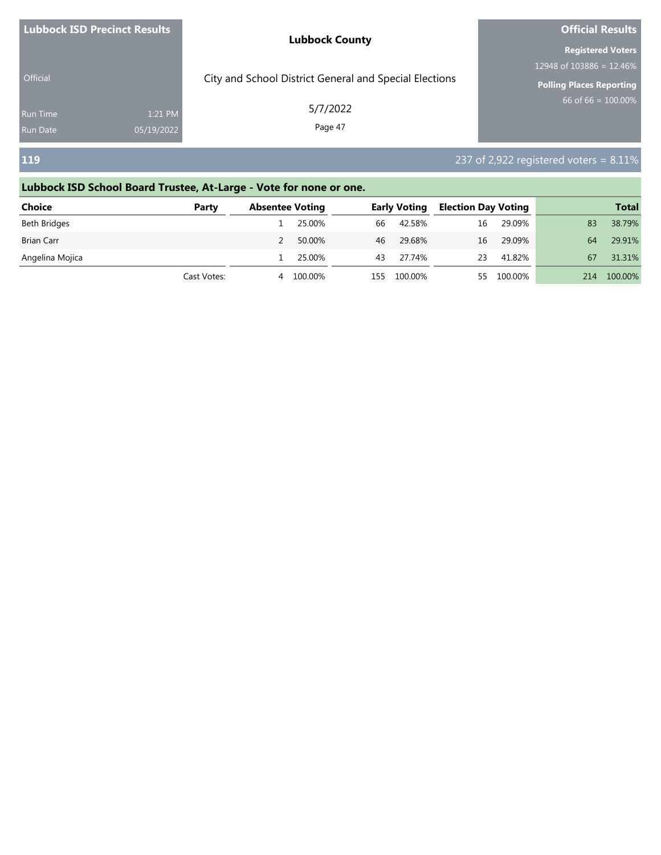| <b>Lubbock ISD Precinct Results</b> | <b>Lubbock County</b>                                  | <b>Official Results</b>         |  |  |
|-------------------------------------|--------------------------------------------------------|---------------------------------|--|--|
|                                     |                                                        | <b>Registered Voters</b>        |  |  |
|                                     |                                                        | 12948 of 103886 = 12.46%        |  |  |
| <b>Official</b>                     | City and School District General and Special Elections | <b>Polling Places Reporting</b> |  |  |
| 1:21 PM<br><b>Run Time</b>          | 5/7/2022                                               | 66 of 66 = $100.00\%$           |  |  |
| <b>Run Date</b><br>05/19/2022       | Page 47                                                |                                 |  |  |

### **119** 237 of 2,922 registered voters = 8.11%

## **Lubbock ISD School Board Trustee, At-Large - Vote for none or one. Choice Party Absentee Voting Early Voting Election Day Voting Total** Beth Bridges 1 25.00% 66 42.58% 16 29.09% 83 38.79% Brian Carr 2 50.00% 46 29.68% 16 29.09% 64 29.91% Angelina Mojica **1 25.00%** 43 27.74% 23 41.82% 67 31.31% Cast Votes: 4 100.00% 155 100.00% 55 100.00% 214 100.00%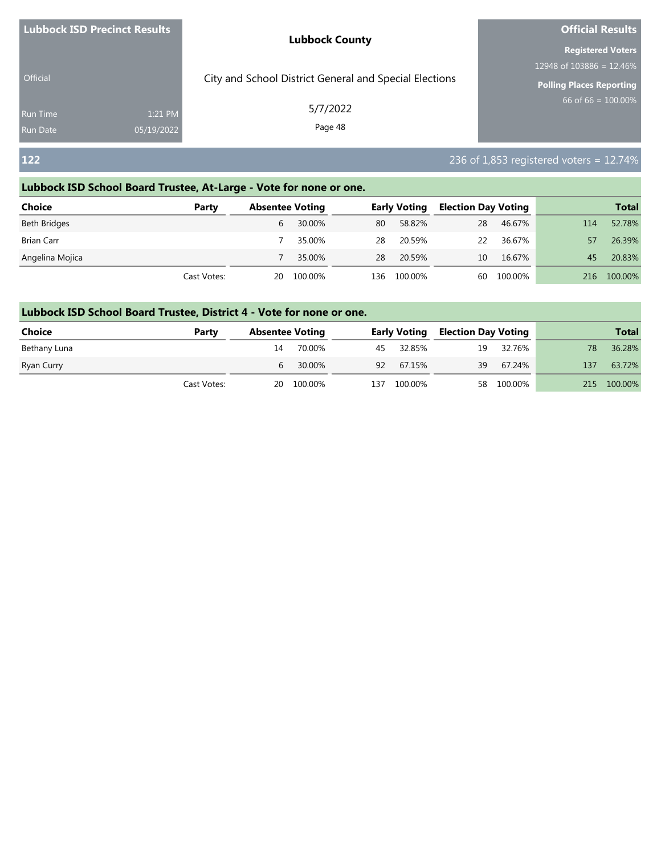| <b>Lubbock ISD Precinct Results</b> | <b>Lubbock County</b>                                  | <b>Official Results</b>                 |  |  |
|-------------------------------------|--------------------------------------------------------|-----------------------------------------|--|--|
|                                     |                                                        | <b>Registered Voters</b>                |  |  |
| <b>Official</b>                     | City and School District General and Special Elections | 12948 of 103886 = 12.46%                |  |  |
|                                     |                                                        | <b>Polling Places Reporting</b>         |  |  |
| 1:21 PM<br><b>Run Time</b>          | 5/7/2022                                               | 66 of $66 = 100.00\%$                   |  |  |
| 05/19/2022<br><b>Run Date</b>       | Page 48                                                |                                         |  |  |
| 122                                 |                                                        | 236 of 1,853 registered voters = 12.74% |  |  |

| <b>Choice</b>     | Party       | <b>Absentee Voting</b> |         |     | <b>Early Voting</b> | <b>Election Day Voting</b> |         |     | <b>Total</b> |
|-------------------|-------------|------------------------|---------|-----|---------------------|----------------------------|---------|-----|--------------|
| Beth Bridges      |             | 6                      | 30.00%  | 80  | 58.82%              | 28                         | 46.67%  | 114 | 52.78%       |
| <b>Brian Carr</b> |             |                        | 35.00%  | 28  | 20.59%              | 22                         | 36.67%  | 57  | 26.39%       |
| Angelina Mojica   |             |                        | 35.00%  | 28  | 20.59%              | 10                         | 16.67%  | 45  | 20.83%       |
|                   | Cast Votes: | 20                     | 100.00% | 136 | 100.00%             | 60                         | 100.00% |     | 216 100.00%  |

| <b>Choice</b> | Party       | <b>Absentee Voting</b> |            |             | <b>Early Voting Election Day Voting</b> |            |     | <b>Total</b> |
|---------------|-------------|------------------------|------------|-------------|-----------------------------------------|------------|-----|--------------|
| Bethany Luna  |             | 14                     | 70.00%     | 45 32.85%   | 19                                      | 32.76%     | 78  | 36.28%       |
| Ryan Curry    |             |                        | 6 30.00%   | 92 67.15%   | 39                                      | 67.24%     | 137 | 63.72%       |
|               | Cast Votes: |                        | 20 100.00% | 137 100.00% |                                         | 58 100.00% | 215 | 100.00%      |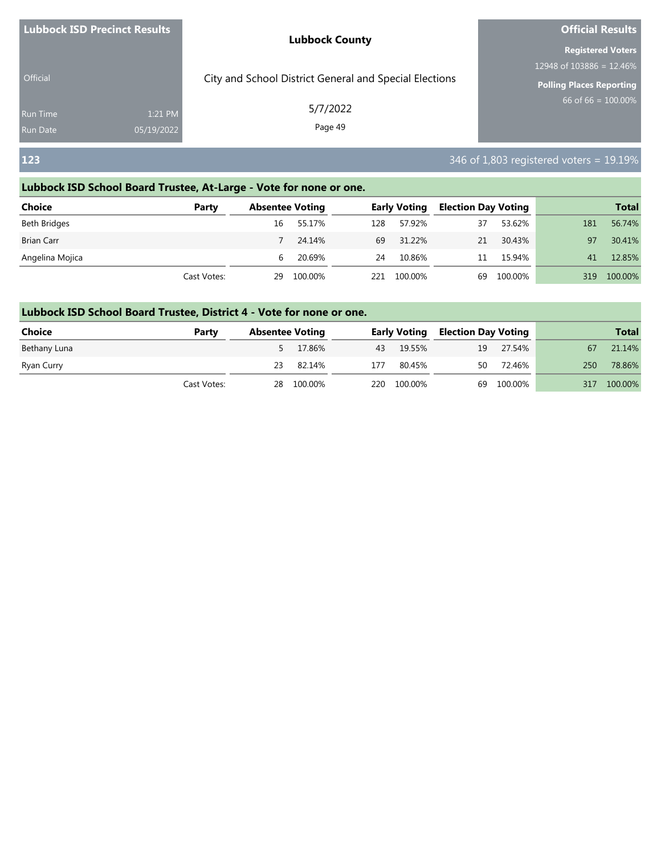|                 | <b>Lubbock ISD Precinct Results</b> | <b>Lubbock County</b>                                  | <b>Official Results</b>                                 |  |  |
|-----------------|-------------------------------------|--------------------------------------------------------|---------------------------------------------------------|--|--|
|                 |                                     |                                                        | <b>Registered Voters</b><br>12948 of $103886 = 12.46\%$ |  |  |
| <b>Official</b> |                                     | City and School District General and Special Elections | <b>Polling Places Reporting</b>                         |  |  |
| <b>Run Time</b> | 1:21 PM                             | 5/7/2022                                               | 66 of $66 = 100.00\%$                                   |  |  |
| Run Date        | 05/19/2022                          | Page 49                                                |                                                         |  |  |
| 123             |                                     |                                                        | 346 of 1,803 registered voters = 19.19%                 |  |  |

| <b>Choice</b>     | Party       |    | <b>Absentee Voting</b> |     | <b>Early Voting</b> | <b>Election Day Voting</b> |         |     | <b>Total</b> |
|-------------------|-------------|----|------------------------|-----|---------------------|----------------------------|---------|-----|--------------|
| Beth Bridges      |             | 16 | 55.17%                 | 128 | 57.92%              | 37                         | 53.62%  | 181 | 56.74%       |
| <b>Brian Carr</b> |             |    | 24.14%                 | 69  | 31.22%              | 21                         | 30.43%  | 97  | 30.41%       |
| Angelina Mojica   |             | b  | 20.69%                 | 24  | 10.86%              | 11                         | 15.94%  | 41  | 12.85%       |
|                   | Cast Votes: | 29 | 100.00%                |     | 221 100.00%         | 69                         | 100.00% | 319 | 100.00%      |

| <b>Choice</b> | Party       | <b>Absentee Voting</b> |            |     | <b>Early Voting</b> | <b>Election Day Voting</b> |            |     | <b>Total</b> |
|---------------|-------------|------------------------|------------|-----|---------------------|----------------------------|------------|-----|--------------|
| Bethany Luna  |             |                        | 5 17.86%   |     | 43 19.55%           | 19                         | 27.54%     | 67  | 21.14%       |
| Ryan Curry    |             | 23                     | 82.14%     | 177 | 80.45%              | 50                         | 72.46%     | 250 | 78.86%       |
|               | Cast Votes: |                        | 28 100.00% |     | 220 100.00%         |                            | 69 100.00% | 317 | 100.00%      |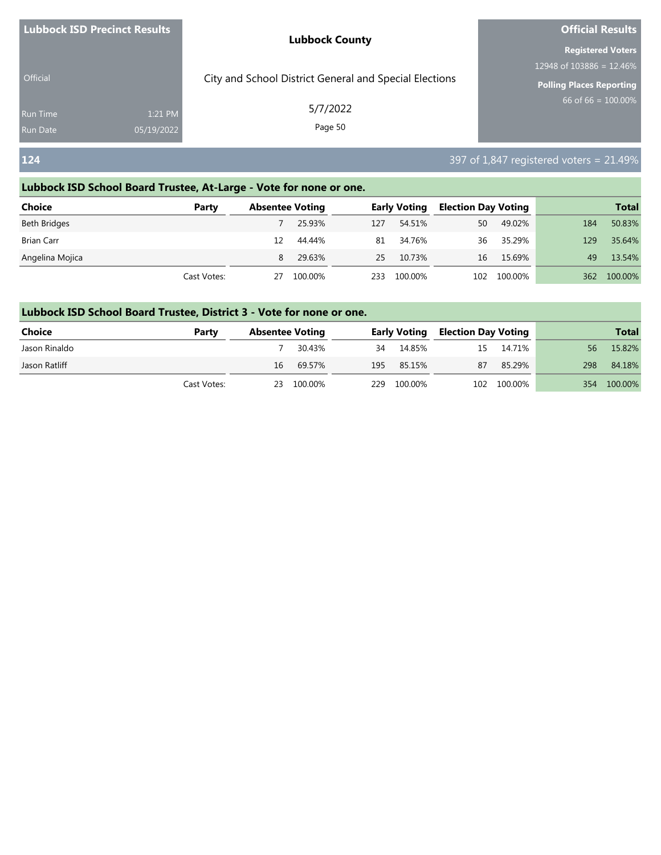| <b>Lubbock ISD Precinct Results</b> |            | <b>Lubbock County</b>                                  | <b>Official Results</b>         |  |  |
|-------------------------------------|------------|--------------------------------------------------------|---------------------------------|--|--|
|                                     |            |                                                        | <b>Registered Voters</b>        |  |  |
|                                     |            |                                                        | 12948 of 103886 = 12.46%        |  |  |
| <b>Official</b>                     |            | City and School District General and Special Elections | <b>Polling Places Reporting</b> |  |  |
| <b>Run Time</b>                     | 1:21 PM    | 5/7/2022                                               | 66 of $66 = 100.00\%$           |  |  |
| <b>Run Date</b>                     | 05/19/2022 | Page 50                                                |                                 |  |  |
|                                     |            |                                                        |                                 |  |  |

## **124** 397 of 1,847 registered voters = 21.49%

### **Lubbock ISD School Board Trustee, At-Large - Vote for none or one.**

| <b>Choice</b>   | Party       |    | <b>Absentee Voting</b> |      | <b>Early Voting</b> |     | <b>Election Day Voting</b> |     | <b>Total</b> |
|-----------------|-------------|----|------------------------|------|---------------------|-----|----------------------------|-----|--------------|
| Beth Bridges    |             |    | 25.93%                 | 127  | 54.51%              | 50  | 49.02%                     | 184 | 50.83%       |
| Brian Carr      |             | 12 | 44.44%                 | 81   | 34.76%              | 36  | 35.29%                     | 129 | 35.64%       |
| Angelina Mojica |             | 8  | 29.63%                 | 25   | 10.73%              | 16  | 15.69%                     | 49  | 13.54%       |
|                 | Cast Votes: | 27 | 100.00%                | 233. | 100.00%             | 102 | 100.00%                    | 362 | 100.00%      |

| Choice        | Party       | <b>Absentee Voting</b> |            |             | <b>Early Voting Election Day Voting</b> |             |     | <b>Total</b> |
|---------------|-------------|------------------------|------------|-------------|-----------------------------------------|-------------|-----|--------------|
| Jason Rinaldo |             |                        | 30.43%     | 34 14.85%   |                                         | 15 14.71%   | 56  | 15.82%       |
| Jason Ratliff |             | 16                     | 69.57%     | 195 85.15%  |                                         | 87 85.29%   | 298 | 84.18%       |
|               | Cast Votes: |                        | 23 100.00% | 229 100.00% |                                         | 102 100.00% |     | 354 100.00%  |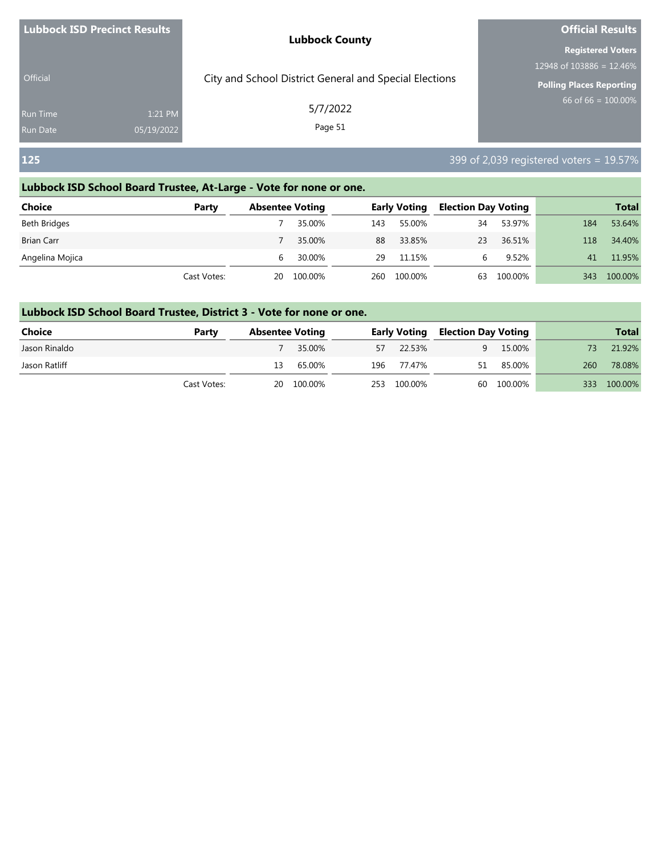| <b>Lubbock ISD Precinct Results</b> |            | <b>Lubbock County</b>                                  | <b>Official Results</b>         |  |  |
|-------------------------------------|------------|--------------------------------------------------------|---------------------------------|--|--|
|                                     |            |                                                        | <b>Registered Voters</b>        |  |  |
|                                     |            |                                                        | 12948 of 103886 = 12.46%        |  |  |
| <b>Official</b>                     |            | City and School District General and Special Elections | <b>Polling Places Reporting</b> |  |  |
| <b>Run Time</b>                     | 1:21 PM    | 5/7/2022                                               | 66 of $66 = 100.00\%$           |  |  |
| <b>Run Date</b>                     | 05/19/2022 | Page 51                                                |                                 |  |  |
|                                     |            |                                                        |                                 |  |  |

### **125** 399 of 2,039 registered voters = 19.57%

### **Lubbock ISD School Board Trustee, At-Large - Vote for none or one.**

| <b>Choice</b>     | Party       | <b>Absentee Voting</b> |         |     | <b>Early Voting</b> | <b>Election Day Voting</b> |         |     | <b>Total</b> |
|-------------------|-------------|------------------------|---------|-----|---------------------|----------------------------|---------|-----|--------------|
| Beth Bridges      |             |                        | 35.00%  | 143 | 55.00%              | 34                         | 53.97%  | 184 | 53.64%       |
| <b>Brian Carr</b> |             |                        | 35.00%  | 88  | 33.85%              | 23                         | 36.51%  | 118 | 34.40%       |
| Angelina Mojica   |             | b                      | 30.00%  | 29  | 11.15%              | 6                          | 9.52%   | 41  | 11.95%       |
|                   | Cast Votes: | 20                     | 100.00% | 260 | 100.00%             | 63                         | 100.00% | 343 | 100.00%      |

| <b>Choice</b> | Party       | <b>Absentee Voting</b> |            | <b>Early Voting</b> | , Election Day Voting |            |     | <b>Total</b> |
|---------------|-------------|------------------------|------------|---------------------|-----------------------|------------|-----|--------------|
| Jason Rinaldo |             |                        | 7 35.00%   | 57 22.53%           | $\mathsf{q}$          | 15.00%     |     | 21.92%       |
| Jason Ratliff |             | 13                     | 65.00%     | 196 77.47%          | 51                    | 85.00%     | 260 | 78.08%       |
|               | Cast Votes: |                        | 20 100.00% | 253 100.00%         |                       | 60 100.00% | 333 | 100.00%      |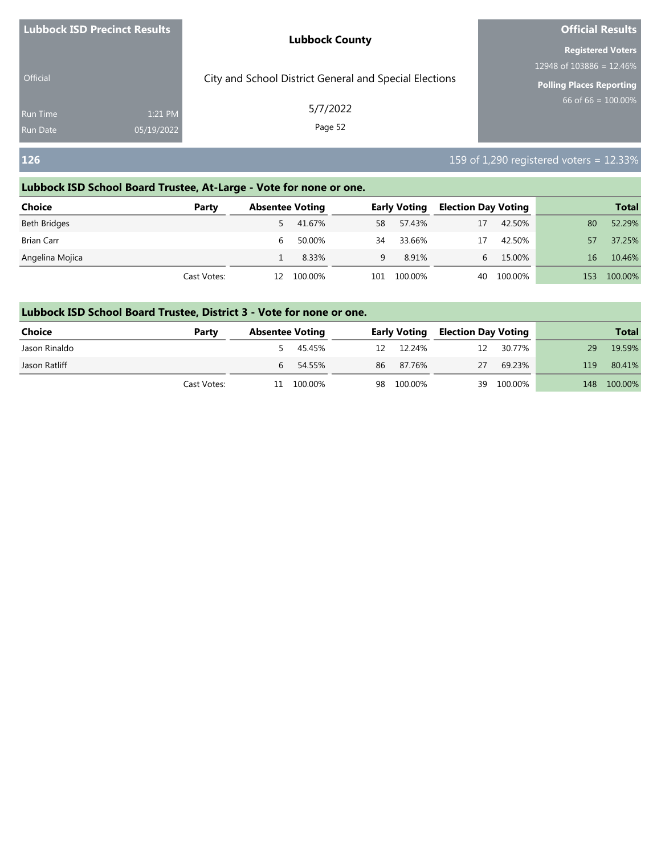| <b>Lubbock ISD Precinct Results</b> |            | <b>Lubbock County</b>                                  | <b>Official Results</b>         |  |  |
|-------------------------------------|------------|--------------------------------------------------------|---------------------------------|--|--|
|                                     |            |                                                        | <b>Registered Voters</b>        |  |  |
|                                     |            |                                                        | 12948 of 103886 = 12.46%        |  |  |
| Official                            |            | City and School District General and Special Elections | <b>Polling Places Reporting</b> |  |  |
| <b>Run Time</b>                     | 1:21 PM    | 5/7/2022                                               | 66 of $66 = 100.00\%$           |  |  |
| <b>Run Date</b>                     | 05/19/2022 | Page 52                                                |                                 |  |  |
|                                     |            |                                                        |                                 |  |  |

## **126** 159 of 1,290 registered voters = 12.33%

### **Lubbock ISD School Board Trustee, At-Large - Vote for none or one.**

| <b>Choice</b>     | Party       | <b>Absentee Voting</b> |          | <b>Early Voting</b> |         | <b>Election Day Voting</b> |         |     | <b>Total</b> |
|-------------------|-------------|------------------------|----------|---------------------|---------|----------------------------|---------|-----|--------------|
| Beth Bridges      |             |                        | 5 41.67% | 58                  | 57.43%  | 17                         | 42.50%  | 80  | 52.29%       |
| <b>Brian Carr</b> |             | b                      | 50.00%   | 34                  | 33.66%  | 17                         | 42.50%  | 57  | 37.25%       |
| Angelina Mojica   |             |                        | 8.33%    | 9                   | 8.91%   | 6                          | 15.00%  | 16  | 10.46%       |
|                   | Cast Votes: | 12                     | 100.00%  | 101                 | 100.00% | 40                         | 100.00% | 153 | 100.00%      |

| <b>Choice</b> | Party       | <b>Absentee Voting</b> |            | <b>Early Voting</b> | , Election Day Voting |            |     | <b>Total</b> |
|---------------|-------------|------------------------|------------|---------------------|-----------------------|------------|-----|--------------|
| Jason Rinaldo |             |                        | 5 45.45%   | 12 12.24%           | 12                    | 30.77%     | 29  | 19.59%       |
| Jason Ratliff |             |                        | 6 54.55%   | 86 87.76%           | 27                    | 69.23%     | 119 | 80.41%       |
|               | Cast Votes: |                        | 11 100.00% | 98 100.00%          |                       | 39 100.00% | 148 | 100.00%      |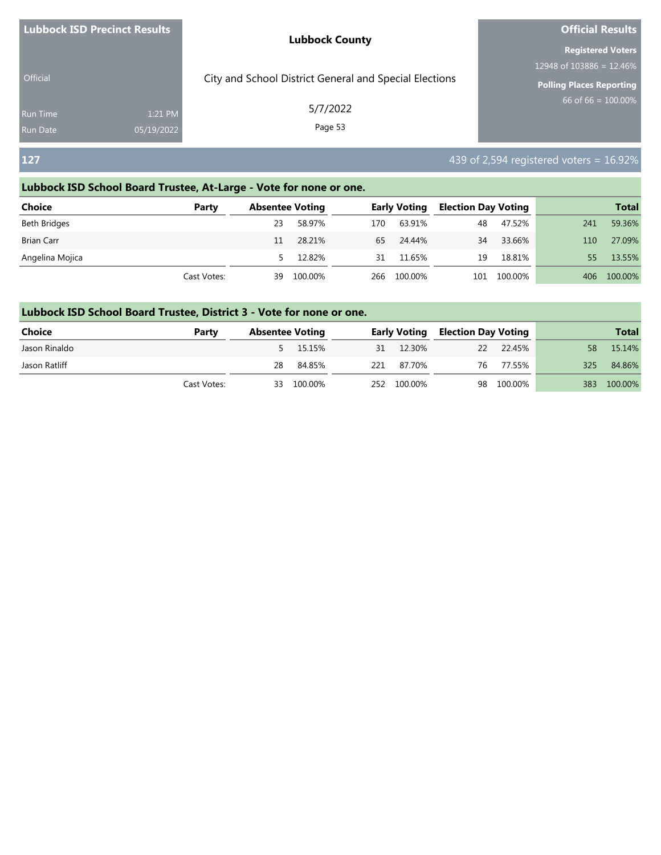|                 | <b>Lubbock ISD Precinct Results</b> | <b>Lubbock County</b>                                  | <b>Official Results</b>                                 |
|-----------------|-------------------------------------|--------------------------------------------------------|---------------------------------------------------------|
|                 |                                     |                                                        | <b>Registered Voters</b><br>12948 of $103886 = 12.46\%$ |
| <b>Official</b> |                                     | City and School District General and Special Elections | <b>Polling Places Reporting</b>                         |
| <b>Run Time</b> | 1:21 PM                             | 5/7/2022                                               | 66 of $66 = 100.00\%$                                   |
| Run Date        | 05/19/2022                          | Page 53                                                |                                                         |
| 127             |                                     |                                                        | 439 of 2,594 registered voters = 16.92%                 |

| <b>Choice</b>     | Party       | <b>Absentee Voting</b> |         |     | <b>Early Voting</b> | <b>Election Day Voting</b> |         |     | <b>Total</b> |
|-------------------|-------------|------------------------|---------|-----|---------------------|----------------------------|---------|-----|--------------|
| Beth Bridges      |             | 23                     | 58.97%  | 170 | 63.91%              | 48                         | 47.52%  | 241 | 59.36%       |
| <b>Brian Carr</b> |             | 11                     | 28.21%  | 65  | 24.44%              | 34                         | 33.66%  | 110 | 27.09%       |
| Angelina Mojica   |             |                        | 12.82%  | 31  | 11.65%              | 19                         | 18.81%  | 55  | 13.55%       |
|                   | Cast Votes: | 39                     | 100.00% | 266 | 100.00%             | 101                        | 100.00% | 406 | 100.00%      |

| <b>Choice</b> | Party       | <b>Absentee Voting</b> |            |             | <b>Early Voting Election Day Voting</b> |            |     | <b>Total</b> |
|---------------|-------------|------------------------|------------|-------------|-----------------------------------------|------------|-----|--------------|
| Jason Rinaldo |             |                        | 5 15.15%   | 31 12.30%   |                                         | 22 22.45%  | 58  | 15.14%       |
| Jason Ratliff |             | 28                     | 84.85%     | 221 87.70%  | 76                                      | 77.55%     | 325 | 84.86%       |
|               | Cast Votes: |                        | 33 100.00% | 252 100.00% |                                         | 98 100.00% |     | 383 100.00%  |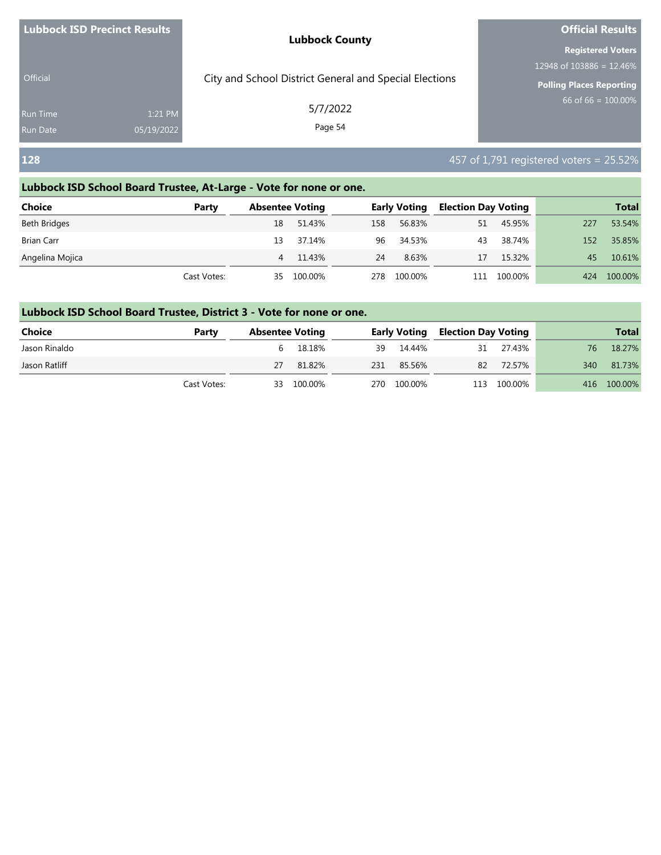| <b>Lubbock ISD Precinct Results</b> | <b>Lubbock County</b>                                  | <b>Official Results</b>         |  |  |
|-------------------------------------|--------------------------------------------------------|---------------------------------|--|--|
|                                     |                                                        | <b>Registered Voters</b>        |  |  |
|                                     |                                                        | 12948 of 103886 = 12.46%        |  |  |
| Official                            | City and School District General and Special Elections | <b>Polling Places Reporting</b> |  |  |
| 1:21 PM<br><b>Run Time</b>          | 5/7/2022                                               | 66 of 66 = $100.00\%$           |  |  |
| 05/19/2022<br><b>Run Date</b>       | Page 54                                                |                                 |  |  |

### **128** 457 of 1,791 registered voters = 25.52%

### **Lubbock ISD School Board Trustee, At-Large - Vote for none or one.**

| <b>Choice</b>       | Party       | <b>Absentee Voting</b> |         | <b>Early Voting</b> |         | <b>Election Day Voting</b> |         |     | <b>Total</b> |
|---------------------|-------------|------------------------|---------|---------------------|---------|----------------------------|---------|-----|--------------|
| <b>Beth Bridges</b> |             | 18                     | 51.43%  | 158                 | 56.83%  | 51                         | 45.95%  | 227 | 53.54%       |
| <b>Brian Carr</b>   |             | 13                     | 37.14%  | 96                  | 34.53%  | 43                         | 38.74%  | 152 | 35.85%       |
| Angelina Mojica     |             | $\overline{4}$         | 11.43%  | 24                  | 8.63%   | 17                         | 15.32%  | 45  | 10.61%       |
|                     | Cast Votes: | 35                     | 100.00% | 278                 | 100.00% | 111                        | 100.00% | 424 | 100.00%      |

| Choice        | Party       | <b>Absentee Voting</b> |            |             | <b>Early Voting Election Day Voting</b> |             |     | <b>Total</b> |
|---------------|-------------|------------------------|------------|-------------|-----------------------------------------|-------------|-----|--------------|
| Jason Rinaldo |             |                        | 6 18.18%   | 39 14.44%   |                                         | 31 27.43%   | 76. | 18.27%       |
| Jason Ratliff |             | 27                     | 81.82%     | 231 85.56%  | 82                                      | 72.57%      | 340 | 81.73%       |
|               | Cast Votes: |                        | 33 100.00% | 270 100.00% |                                         | 113 100.00% |     | 416 100.00%  |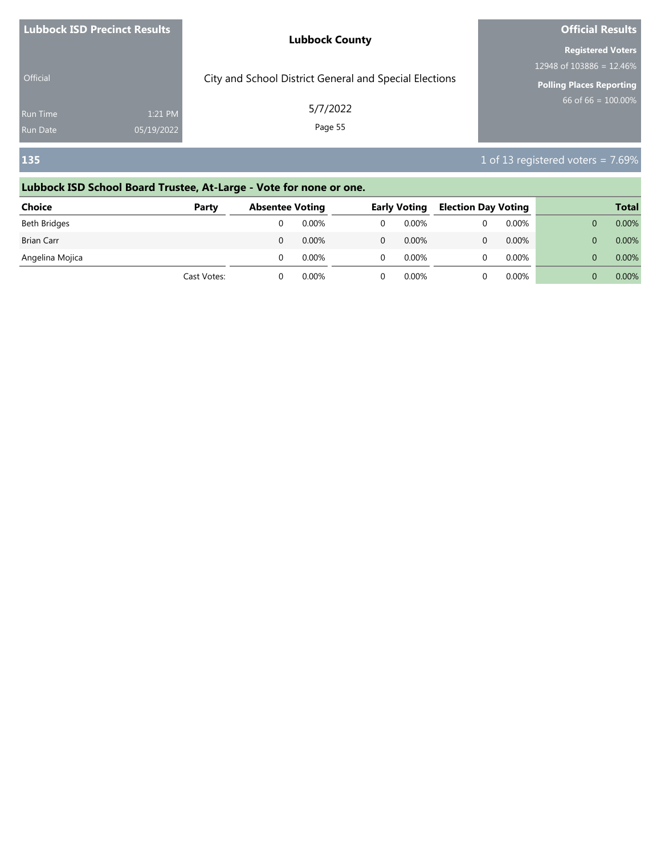| <b>Lubbock ISD Precinct Results</b> |            | <b>Lubbock County</b>                                  | <b>Official Results</b>     |  |  |
|-------------------------------------|------------|--------------------------------------------------------|-----------------------------|--|--|
|                                     |            |                                                        | <b>Registered Voters</b>    |  |  |
|                                     |            |                                                        | 12948 of $103886 = 12.46\%$ |  |  |
| <b>Official</b>                     |            | City and School District General and Special Elections | Polling Places Reporting    |  |  |
| <b>Run Time</b>                     | 1:21 PM    | 5/7/2022                                               | $66$ of 66 = 100.00%        |  |  |
| <b>Run Date</b>                     | 05/19/2022 | Page 55                                                |                             |  |  |
|                                     |            |                                                        |                             |  |  |

**135 135 135 136 136 136 136 137 137 137 137 137 137 137 137 137 137 137 137 137 137 137 137 137 137 137 137 137 137 137 137 137 137 137 137 137 137**

| Choice          | Party       | <b>Absentee Voting</b> |       | <b>Early Voting</b> | <b>Election Day Voting</b> |       | <b>Total</b> |
|-----------------|-------------|------------------------|-------|---------------------|----------------------------|-------|--------------|
| Beth Bridges    |             |                        | 0.00% | 0.00%               |                            | 0.00% | 0.00%        |
| Brian Carr      |             |                        | 0.00% | 0.00%               |                            | 0.00% | 0.00%        |
| Angelina Mojica |             |                        | 0.00% | $0.00\%$            |                            | 0.00% | 0.00%        |
|                 | Cast Votes: |                        | 0.00% | $0.00\%$            |                            | 0.00% | 0.00%        |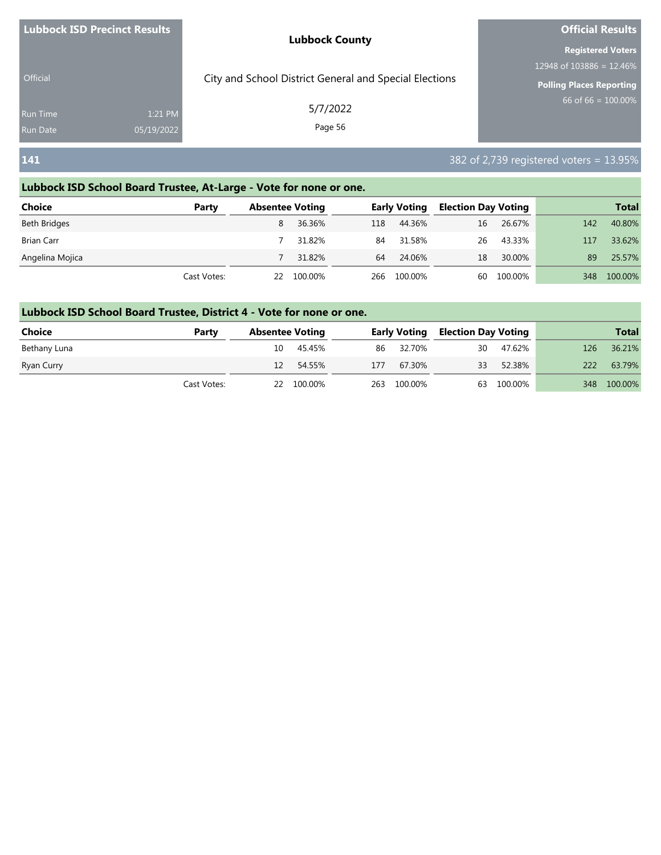| <b>Lubbock ISD Precinct Results</b> |            | <b>Lubbock County</b>                                  | <b>Official Results</b>                 |  |  |
|-------------------------------------|------------|--------------------------------------------------------|-----------------------------------------|--|--|
|                                     |            |                                                        | <b>Registered Voters</b>                |  |  |
| <b>Official</b>                     |            | City and School District General and Special Elections | 12948 of $103886 = 12.46\%$             |  |  |
|                                     |            |                                                        | <b>Polling Places Reporting</b>         |  |  |
| <b>Run Time</b>                     | 1:21 PM    | 5/7/2022                                               | 66 of 66 = $100.00\%$                   |  |  |
| <b>Run Date</b>                     | 05/19/2022 | Page 56                                                |                                         |  |  |
|                                     |            |                                                        |                                         |  |  |
| 141                                 |            |                                                        | 382 of 2,739 registered voters = 13.95% |  |  |

| <b>Choice</b>     | Party       | <b>Absentee Voting</b> |         |     | <b>Early Voting</b> | <b>Election Day Voting</b> |         |     | <b>Total</b> |
|-------------------|-------------|------------------------|---------|-----|---------------------|----------------------------|---------|-----|--------------|
| Beth Bridges      |             | 8                      | 36.36%  | 118 | 44.36%              | 16                         | 26.67%  | 142 | 40.80%       |
| <b>Brian Carr</b> |             |                        | 31.82%  | 84  | 31.58%              | 26                         | 43.33%  | 117 | 33.62%       |
| Angelina Mojica   |             |                        | 31.82%  | 64  | 24.06%              | 18                         | 30.00%  | 89  | 25.57%       |
|                   | Cast Votes: | 22                     | 100.00% |     | 266 100.00%         | 60                         | 100.00% | 348 | 100.00%      |

| <b>Choice</b> | Party       | <b>Absentee Voting</b> |            |     |             | <b>Early Voting Election Day Voting</b> |            |     | <b>Total</b> |
|---------------|-------------|------------------------|------------|-----|-------------|-----------------------------------------|------------|-----|--------------|
| Bethany Luna  |             | 10                     | 45.45%     |     | 86 32.70%   | 30                                      | 47.62%     | 126 | 36.21%       |
| Ryan Curry    |             |                        | 12 54.55%  | 177 | 67.30%      | 33                                      | 52.38%     | 222 | 63.79%       |
|               | Cast Votes: |                        | 22 100.00% |     | 263 100.00% |                                         | 63 100.00% |     | 348 100.00%  |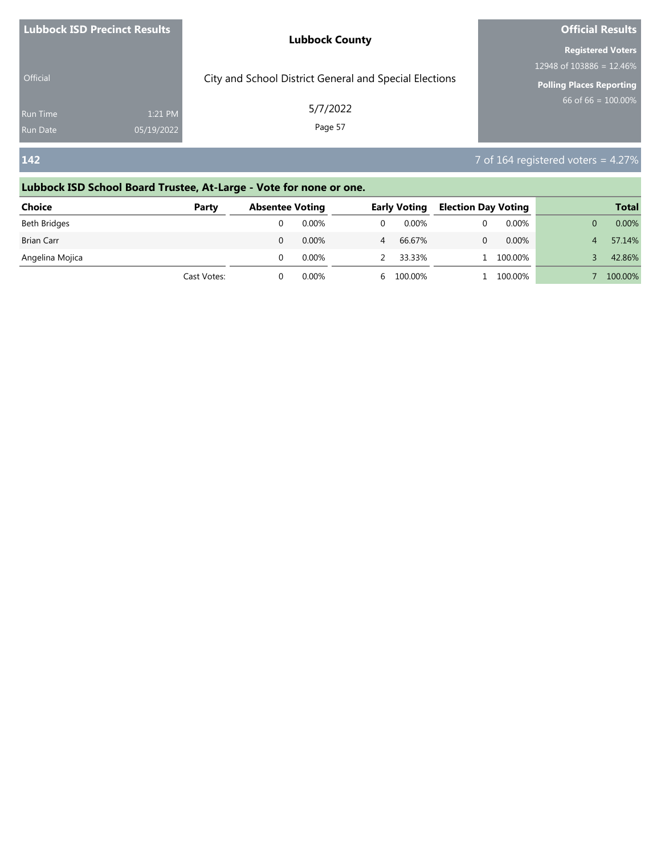| <b>Lubbock ISD Precinct Results</b> |            | <b>Lubbock County</b>                                  | <b>Official Results</b>                                 |  |  |
|-------------------------------------|------------|--------------------------------------------------------|---------------------------------------------------------|--|--|
|                                     |            |                                                        | <b>Registered Voters</b><br>12948 of $103886 = 12.46\%$ |  |  |
| Official                            |            | City and School District General and Special Elections | <b>Polling Places Reporting</b>                         |  |  |
| <b>Run Time</b>                     | 1:21 PM    | 5/7/2022                                               | 66 of 66 = $100.00\%$                                   |  |  |
| <b>Run Date</b>                     | 05/19/2022 | Page 57                                                |                                                         |  |  |
| 142                                 |            |                                                        | 7 of 164 registered voters = $4.27\%$                   |  |  |

| Choice          | Party       | <b>Absentee Voting</b> |       |   | <b>Early Voting</b> | <b>Election Day Voting</b> |         |   | <b>Total</b> |
|-----------------|-------------|------------------------|-------|---|---------------------|----------------------------|---------|---|--------------|
| Beth Bridges    |             |                        | 0.00% |   | 0.00%               |                            | 0.00%   |   | 0.00%        |
| Brian Carr      |             |                        | 0.00% | 4 | 66.67%              |                            | 0.00%   | 4 | 57.14%       |
| Angelina Mojica |             |                        | 0.00% |   | 33.33%              |                            | 100.00% |   | 42.86%       |
|                 | Cast Votes: |                        | 0.00% |   | 6 100.00%           |                            | 100.00% |   | 100.00%      |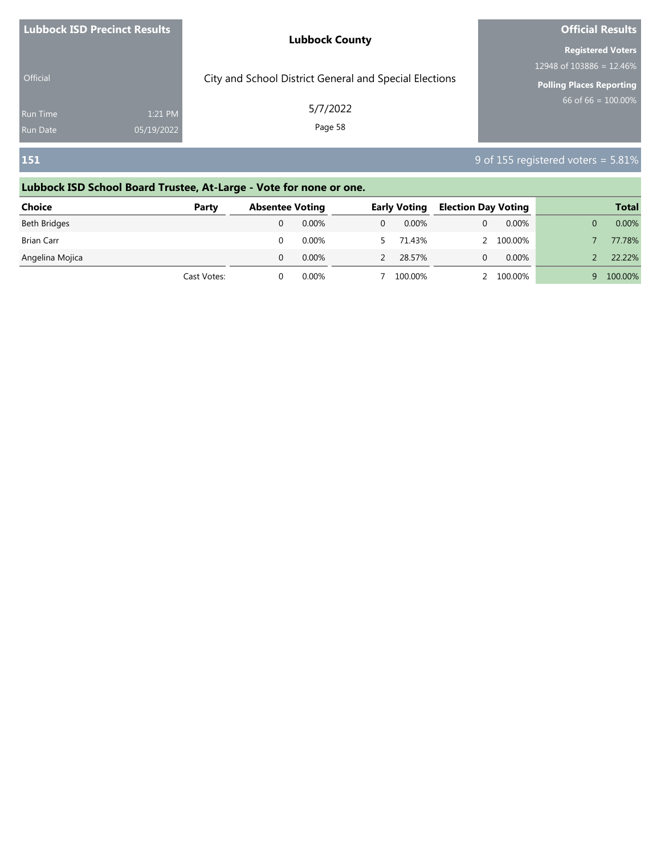| <b>Lubbock ISD Precinct Results</b> |            | <b>Lubbock County</b>                                  | <b>Official Results</b>         |  |  |
|-------------------------------------|------------|--------------------------------------------------------|---------------------------------|--|--|
|                                     |            |                                                        | <b>Registered Voters</b>        |  |  |
|                                     |            |                                                        | 12948 of 103886 = 12.46%        |  |  |
| <b>Official</b>                     |            | City and School District General and Special Elections | <b>Polling Places Reporting</b> |  |  |
| <b>Run Time</b>                     | 1:21 PM    | 5/7/2022                                               | $66$ of 66 = 100.00%            |  |  |
| <b>Run Date</b>                     | 05/19/2022 | Page 58                                                |                                 |  |  |
|                                     |            |                                                        |                                 |  |  |

**151** 9 of 155 registered voters = 5.81%

| <b>Choice</b>     | Party       | <b>Absentee Voting</b> |          | <b>Early Voting</b> |         | <b>Election Day Voting</b> |          | <b>Total</b> |         |
|-------------------|-------------|------------------------|----------|---------------------|---------|----------------------------|----------|--------------|---------|
| Beth Bridges      |             |                        | 0.00%    |                     | 0.00%   |                            | 0.00%    |              | 0.00%   |
| <b>Brian Carr</b> |             |                        | $0.00\%$ |                     | 71.43%  |                            | 100.00%  |              | 77.78%  |
| Angelina Mojica   |             |                        | 0.00%    |                     | 28.57%  |                            | $0.00\%$ |              | 22.22%  |
|                   | Cast Votes: |                        | 0.00%    |                     | 100.00% |                            | 100.00%  | Q            | 100.00% |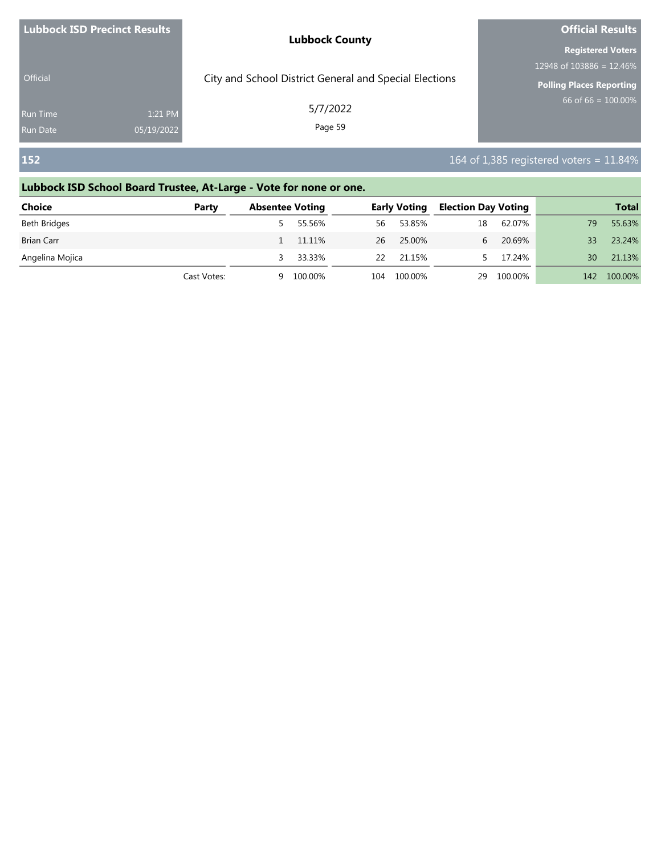| <b>Lubbock ISD Precinct Results</b> | <b>Lubbock County</b>                                  | <b>Official Results</b>         |  |  |
|-------------------------------------|--------------------------------------------------------|---------------------------------|--|--|
|                                     |                                                        | <b>Registered Voters</b>        |  |  |
|                                     |                                                        | 12948 of 103886 = 12.46%        |  |  |
| <b>Official</b>                     | City and School District General and Special Elections | <b>Polling Places Reporting</b> |  |  |
| 1:21 PM<br><b>Run Time</b>          | 5/7/2022                                               | 66 of $66 = 100.00\%$           |  |  |
| 05/19/2022<br><b>Run Date</b>       | Page 59                                                |                                 |  |  |

### **152 152 152 152 152 164 of 1,385 registered voters = 11.84%**

## **Lubbock ISD School Board Trustee, At-Large - Vote for none or one. Choice Party Absentee Voting Early Voting Election Day Voting Total** Beth Bridges 5 55.56% 56 53.85% 18 62.07% 79 55.63% Brian Carr 1 11.11% 26 25.00% 6 20.69% 33 23.24% Angelina Mojica **3 33.33%** 22 21.15% 5 17.24% 30 21.13% Cast Votes: 9 100.00% 104 100.00% 29 100.00% 142 100.00%